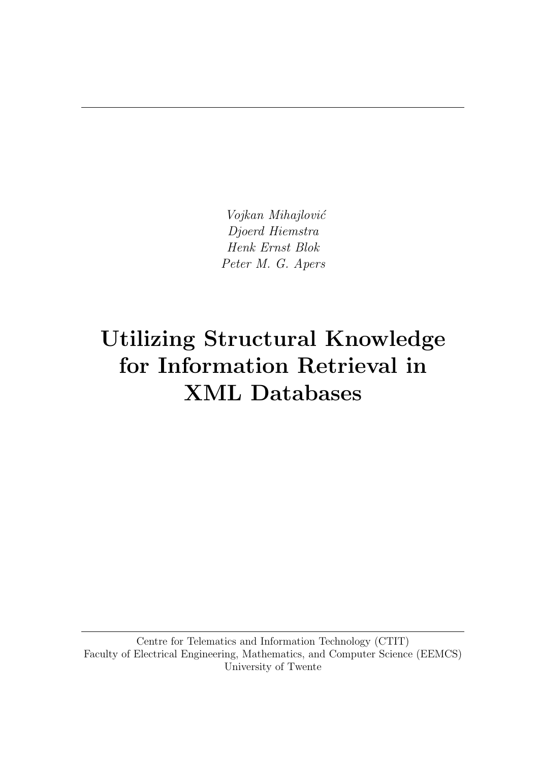Vojkan Mihajlović Djoerd Hiemstra Henk Ernst Blok Peter M. G. Apers

# Utilizing Structural Knowledge for Information Retrieval in XML Databases

Centre for Telematics and Information Technology (CTIT) Faculty of Electrical Engineering, Mathematics, and Computer Science (EEMCS) University of Twente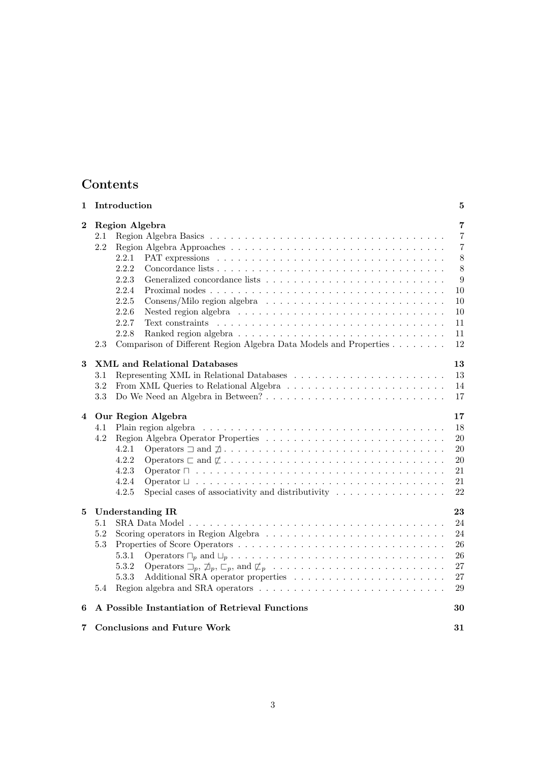# Contents

| 1        | Introduction                                                                                                                                                                                                                                                                                                              | 5                                                                                                         |
|----------|---------------------------------------------------------------------------------------------------------------------------------------------------------------------------------------------------------------------------------------------------------------------------------------------------------------------------|-----------------------------------------------------------------------------------------------------------|
| $\bf{2}$ | Region Algebra<br>2.1<br>2.2<br>2.2.1<br>2.2.2<br>2.2.3<br>2.2.4<br>2.2.5<br>2.2.6<br>2.2.7<br>2.2.8<br>Comparison of Different Region Algebra Data Models and Properties<br>2.3                                                                                                                                          | $\overline{7}$<br>$\overline{7}$<br>$\overline{7}$<br>$8\,$<br>8<br>9<br>10<br>10<br>10<br>11<br>11<br>12 |
| 3        | <b>XML</b> and Relational Databases<br>3.1<br>$3.2\,$<br>3.3                                                                                                                                                                                                                                                              | 13<br>13<br>14<br>17                                                                                      |
| 4        | Our Region Algebra<br>4.1<br>Plain region algebra<br>4.2<br>4.2.1<br>4.2.2<br>Operators $\sqsubset$ and $\not\sqsubset \ldots \ldots \ldots \ldots \ldots \ldots \ldots \ldots \ldots \ldots \ldots$<br>4.2.3<br>4.2.4<br>4.2.5<br>Special cases of associativity and distributivity $\ldots \ldots \ldots \ldots \ldots$ | 17<br>18<br>20<br>20<br>20<br>21<br>21<br>22                                                              |
| 5        | <b>Understanding IR</b><br>5.1<br>5.2<br>5.3<br>5.3.1<br>5.3.2<br>5.3.3<br>Region algebra and SRA operators $\dots \dots \dots \dots \dots \dots \dots \dots \dots \dots \dots$<br>5.4                                                                                                                                    | 23<br>24<br>24<br>26<br>26<br>27<br>27<br>29                                                              |
| 6        | A Possible Instantiation of Retrieval Functions                                                                                                                                                                                                                                                                           | 30                                                                                                        |
| $7\,$    | <b>Conclusions and Future Work</b>                                                                                                                                                                                                                                                                                        | 31                                                                                                        |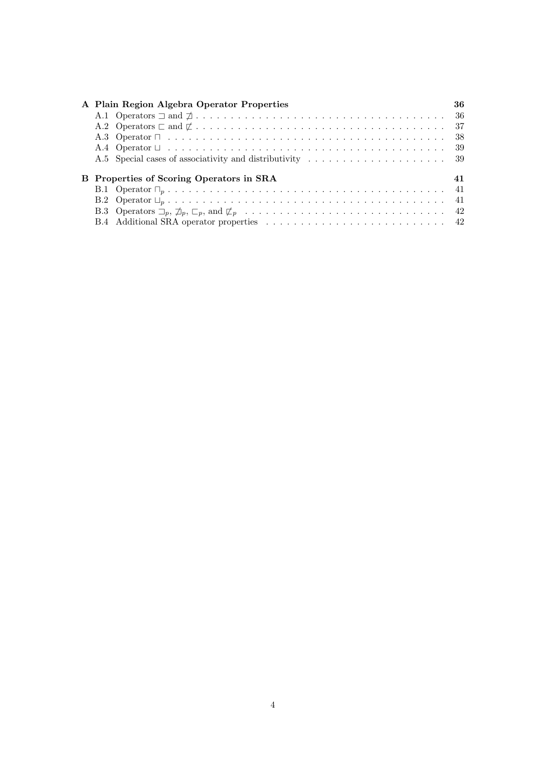|  | A Plain Region Algebra Operator Properties                                                                                                  | 36 |
|--|---------------------------------------------------------------------------------------------------------------------------------------------|----|
|  |                                                                                                                                             |    |
|  | A.2 Operators $\sqsubset$ and $\not\sqsubset \ldots \ldots \ldots \ldots \ldots \ldots \ldots \ldots \ldots \ldots \ldots \ldots \ldots$ 37 |    |
|  |                                                                                                                                             |    |
|  |                                                                                                                                             |    |
|  |                                                                                                                                             |    |
|  |                                                                                                                                             |    |
|  | B Properties of Scoring Operators in SRA                                                                                                    | 41 |
|  |                                                                                                                                             |    |
|  |                                                                                                                                             |    |
|  |                                                                                                                                             |    |
|  |                                                                                                                                             |    |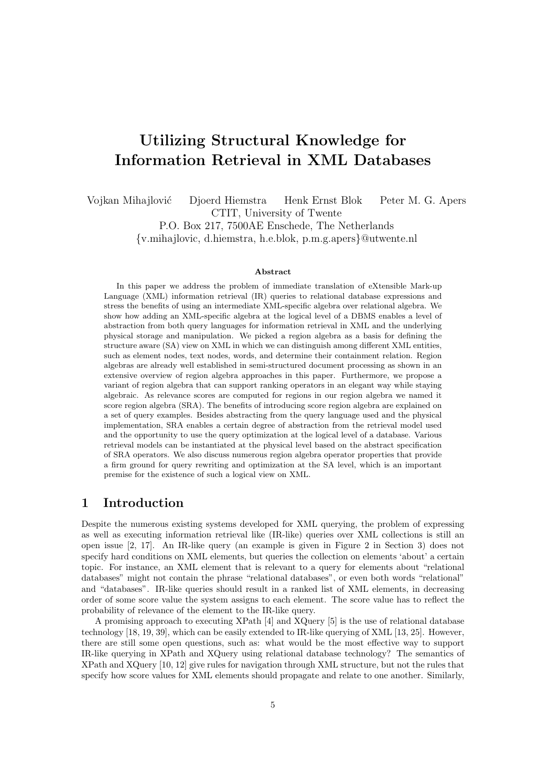# Utilizing Structural Knowledge for Information Retrieval in XML Databases

Vojkan Mihajlović Djoerd Hiemstra Henk Ernst Blok Peter M. G. Apers CTIT, University of Twente

P.O. Box 217, 7500AE Enschede, The Netherlands {v.mihajlovic, d.hiemstra, h.e.blok, p.m.g.apers}@utwente.nl

#### Abstract

In this paper we address the problem of immediate translation of eXtensible Mark-up Language (XML) information retrieval (IR) queries to relational database expressions and stress the benefits of using an intermediate XML-specific algebra over relational algebra. We show how adding an XML-specific algebra at the logical level of a DBMS enables a level of abstraction from both query languages for information retrieval in XML and the underlying physical storage and manipulation. We picked a region algebra as a basis for defining the structure aware (SA) view on XML in which we can distinguish among different XML entities, such as element nodes, text nodes, words, and determine their containment relation. Region algebras are already well established in semi-structured document processing as shown in an extensive overview of region algebra approaches in this paper. Furthermore, we propose a variant of region algebra that can support ranking operators in an elegant way while staying algebraic. As relevance scores are computed for regions in our region algebra we named it score region algebra (SRA). The benefits of introducing score region algebra are explained on a set of query examples. Besides abstracting from the query language used and the physical implementation, SRA enables a certain degree of abstraction from the retrieval model used and the opportunity to use the query optimization at the logical level of a database. Various retrieval models can be instantiated at the physical level based on the abstract specification of SRA operators. We also discuss numerous region algebra operator properties that provide a firm ground for query rewriting and optimization at the SA level, which is an important premise for the existence of such a logical view on XML.

# 1 Introduction

Despite the numerous existing systems developed for XML querying, the problem of expressing as well as executing information retrieval like (IR-like) queries over XML collections is still an open issue [2, 17]. An IR-like query (an example is given in Figure 2 in Section 3) does not specify hard conditions on XML elements, but queries the collection on elements 'about' a certain topic. For instance, an XML element that is relevant to a query for elements about "relational databases" might not contain the phrase "relational databases", or even both words "relational" and "databases". IR-like queries should result in a ranked list of XML elements, in decreasing order of some score value the system assigns to each element. The score value has to reflect the probability of relevance of the element to the IR-like query.

A promising approach to executing XPath [4] and XQuery [5] is the use of relational database technology [18, 19, 39], which can be easily extended to IR-like querying of XML [13, 25]. However, there are still some open questions, such as: what would be the most effective way to support IR-like querying in XPath and XQuery using relational database technology? The semantics of XPath and XQuery [10, 12] give rules for navigation through XML structure, but not the rules that specify how score values for XML elements should propagate and relate to one another. Similarly,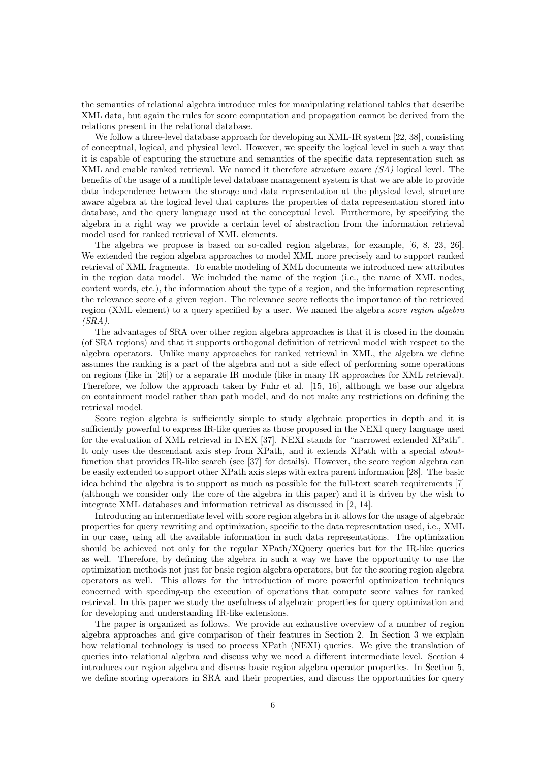the semantics of relational algebra introduce rules for manipulating relational tables that describe XML data, but again the rules for score computation and propagation cannot be derived from the relations present in the relational database.

We follow a three-level database approach for developing an XML-IR system [22, 38], consisting of conceptual, logical, and physical level. However, we specify the logical level in such a way that it is capable of capturing the structure and semantics of the specific data representation such as XML and enable ranked retrieval. We named it therefore structure aware (SA) logical level. The benefits of the usage of a multiple level database management system is that we are able to provide data independence between the storage and data representation at the physical level, structure aware algebra at the logical level that captures the properties of data representation stored into database, and the query language used at the conceptual level. Furthermore, by specifying the algebra in a right way we provide a certain level of abstraction from the information retrieval model used for ranked retrieval of XML elements.

The algebra we propose is based on so-called region algebras, for example, [6, 8, 23, 26]. We extended the region algebra approaches to model XML more precisely and to support ranked retrieval of XML fragments. To enable modeling of XML documents we introduced new attributes in the region data model. We included the name of the region (i.e., the name of XML nodes, content words, etc.), the information about the type of a region, and the information representing the relevance score of a given region. The relevance score reflects the importance of the retrieved region (XML element) to a query specified by a user. We named the algebra score region algebra  $(SRA)$ .

The advantages of SRA over other region algebra approaches is that it is closed in the domain (of SRA regions) and that it supports orthogonal definition of retrieval model with respect to the algebra operators. Unlike many approaches for ranked retrieval in XML, the algebra we define assumes the ranking is a part of the algebra and not a side effect of performing some operations on regions (like in [26]) or a separate IR module (like in many IR approaches for XML retrieval). Therefore, we follow the approach taken by Fuhr et al. [15, 16], although we base our algebra on containment model rather than path model, and do not make any restrictions on defining the retrieval model.

Score region algebra is sufficiently simple to study algebraic properties in depth and it is sufficiently powerful to express IR-like queries as those proposed in the NEXI query language used for the evaluation of XML retrieval in INEX [37]. NEXI stands for "narrowed extended XPath". It only uses the descendant axis step from XPath, and it extends XPath with a special aboutfunction that provides IR-like search (see [37] for details). However, the score region algebra can be easily extended to support other XPath axis steps with extra parent information [28]. The basic idea behind the algebra is to support as much as possible for the full-text search requirements [7] (although we consider only the core of the algebra in this paper) and it is driven by the wish to integrate XML databases and information retrieval as discussed in [2, 14].

Introducing an intermediate level with score region algebra in it allows for the usage of algebraic properties for query rewriting and optimization, specific to the data representation used, i.e., XML in our case, using all the available information in such data representations. The optimization should be achieved not only for the regular XPath/XQuery queries but for the IR-like queries as well. Therefore, by defining the algebra in such a way we have the opportunity to use the optimization methods not just for basic region algebra operators, but for the scoring region algebra operators as well. This allows for the introduction of more powerful optimization techniques concerned with speeding-up the execution of operations that compute score values for ranked retrieval. In this paper we study the usefulness of algebraic properties for query optimization and for developing and understanding IR-like extensions.

The paper is organized as follows. We provide an exhaustive overview of a number of region algebra approaches and give comparison of their features in Section 2. In Section 3 we explain how relational technology is used to process XPath (NEXI) queries. We give the translation of queries into relational algebra and discuss why we need a different intermediate level. Section 4 introduces our region algebra and discuss basic region algebra operator properties. In Section 5, we define scoring operators in SRA and their properties, and discuss the opportunities for query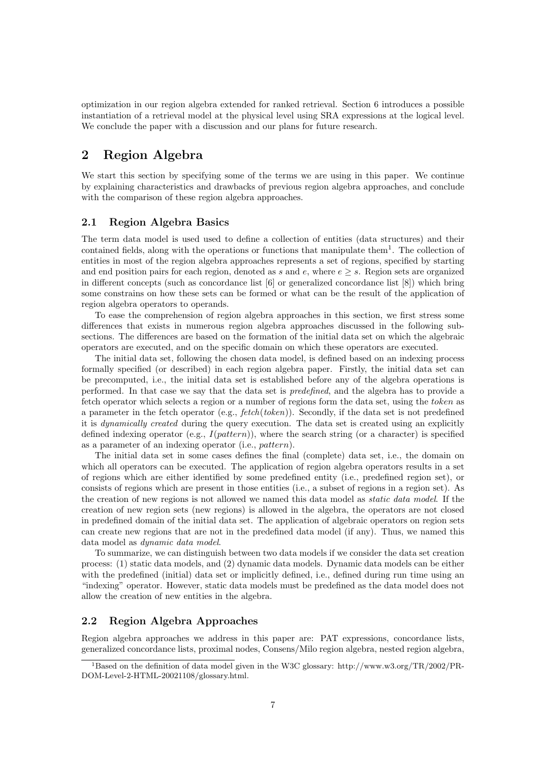optimization in our region algebra extended for ranked retrieval. Section 6 introduces a possible instantiation of a retrieval model at the physical level using SRA expressions at the logical level. We conclude the paper with a discussion and our plans for future research.

# 2 Region Algebra

We start this section by specifying some of the terms we are using in this paper. We continue by explaining characteristics and drawbacks of previous region algebra approaches, and conclude with the comparison of these region algebra approaches.

## 2.1 Region Algebra Basics

The term data model is used used to define a collection of entities (data structures) and their contained fields, along with the operations or functions that manipulate them<sup>1</sup>. The collection of entities in most of the region algebra approaches represents a set of regions, specified by starting and end position pairs for each region, denoted as s and e, where  $e \geq s$ . Region sets are organized in different concepts (such as concordance list [6] or generalized concordance list [8]) which bring some constrains on how these sets can be formed or what can be the result of the application of region algebra operators to operands.

To ease the comprehension of region algebra approaches in this section, we first stress some differences that exists in numerous region algebra approaches discussed in the following subsections. The differences are based on the formation of the initial data set on which the algebraic operators are executed, and on the specific domain on which these operators are executed.

The initial data set, following the chosen data model, is defined based on an indexing process formally specified (or described) in each region algebra paper. Firstly, the initial data set can be precomputed, i.e., the initial data set is established before any of the algebra operations is performed. In that case we say that the data set is predefined, and the algebra has to provide a fetch operator which selects a region or a number of regions form the data set, using the token as a parameter in the fetch operator (e.g.,  $fetch(token)$ ). Secondly, if the data set is not predefined it is dynamically created during the query execution. The data set is created using an explicitly defined indexing operator (e.g.,  $I(pattern)$ ), where the search string (or a character) is specified as a parameter of an indexing operator (i.e., pattern).

The initial data set in some cases defines the final (complete) data set, i.e., the domain on which all operators can be executed. The application of region algebra operators results in a set of regions which are either identified by some predefined entity (i.e., predefined region set), or consists of regions which are present in those entities (i.e., a subset of regions in a region set). As the creation of new regions is not allowed we named this data model as static data model. If the creation of new region sets (new regions) is allowed in the algebra, the operators are not closed in predefined domain of the initial data set. The application of algebraic operators on region sets can create new regions that are not in the predefined data model (if any). Thus, we named this data model as dynamic data model.

To summarize, we can distinguish between two data models if we consider the data set creation process: (1) static data models, and (2) dynamic data models. Dynamic data models can be either with the predefined (initial) data set or implicitly defined, i.e., defined during run time using an "indexing" operator. However, static data models must be predefined as the data model does not allow the creation of new entities in the algebra.

## 2.2 Region Algebra Approaches

Region algebra approaches we address in this paper are: PAT expressions, concordance lists, generalized concordance lists, proximal nodes, Consens/Milo region algebra, nested region algebra,

<sup>1</sup>Based on the definition of data model given in the W3C glossary: http://www.w3.org/TR/2002/PR-DOM-Level-2-HTML-20021108/glossary.html.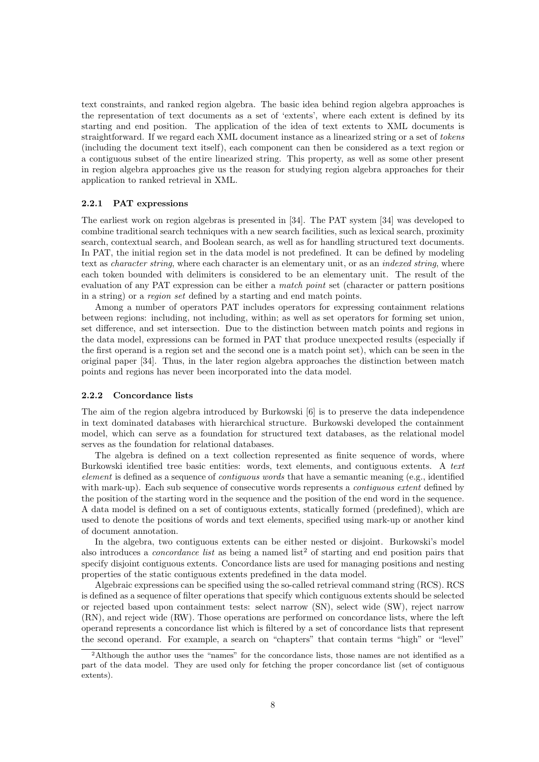text constraints, and ranked region algebra. The basic idea behind region algebra approaches is the representation of text documents as a set of 'extents', where each extent is defined by its starting and end position. The application of the idea of text extents to XML documents is straightforward. If we regard each XML document instance as a linearized string or a set of tokens (including the document text itself), each component can then be considered as a text region or a contiguous subset of the entire linearized string. This property, as well as some other present in region algebra approaches give us the reason for studying region algebra approaches for their application to ranked retrieval in XML.

#### 2.2.1 PAT expressions

The earliest work on region algebras is presented in [34]. The PAT system [34] was developed to combine traditional search techniques with a new search facilities, such as lexical search, proximity search, contextual search, and Boolean search, as well as for handling structured text documents. In PAT, the initial region set in the data model is not predefined. It can be defined by modeling text as *character string*, where each character is an elementary unit, or as an *indexed string*, where each token bounded with delimiters is considered to be an elementary unit. The result of the evaluation of any PAT expression can be either a match point set (character or pattern positions in a string) or a region set defined by a starting and end match points.

Among a number of operators PAT includes operators for expressing containment relations between regions: including, not including, within; as well as set operators for forming set union, set difference, and set intersection. Due to the distinction between match points and regions in the data model, expressions can be formed in PAT that produce unexpected results (especially if the first operand is a region set and the second one is a match point set), which can be seen in the original paper [34]. Thus, in the later region algebra approaches the distinction between match points and regions has never been incorporated into the data model.

#### 2.2.2 Concordance lists

The aim of the region algebra introduced by Burkowski [6] is to preserve the data independence in text dominated databases with hierarchical structure. Burkowski developed the containment model, which can serve as a foundation for structured text databases, as the relational model serves as the foundation for relational databases.

The algebra is defined on a text collection represented as finite sequence of words, where Burkowski identified tree basic entities: words, text elements, and contiguous extents. A text element is defined as a sequence of contiguous words that have a semantic meaning (e.g., identified with mark-up). Each sub sequence of consecutive words represents a *contiguous extent* defined by the position of the starting word in the sequence and the position of the end word in the sequence. A data model is defined on a set of contiguous extents, statically formed (predefined), which are used to denote the positions of words and text elements, specified using mark-up or another kind of document annotation.

In the algebra, two contiguous extents can be either nested or disjoint. Burkowski's model also introduces a *concordance list* as being a named list<sup>2</sup> of starting and end position pairs that specify disjoint contiguous extents. Concordance lists are used for managing positions and nesting properties of the static contiguous extents predefined in the data model.

Algebraic expressions can be specified using the so-called retrieval command string (RCS). RCS is defined as a sequence of filter operations that specify which contiguous extents should be selected or rejected based upon containment tests: select narrow (SN), select wide (SW), reject narrow (RN), and reject wide (RW). Those operations are performed on concordance lists, where the left operand represents a concordance list which is filtered by a set of concordance lists that represent the second operand. For example, a search on "chapters" that contain terms "high" or "level"

<sup>2</sup>Although the author uses the "names" for the concordance lists, those names are not identified as a part of the data model. They are used only for fetching the proper concordance list (set of contiguous extents).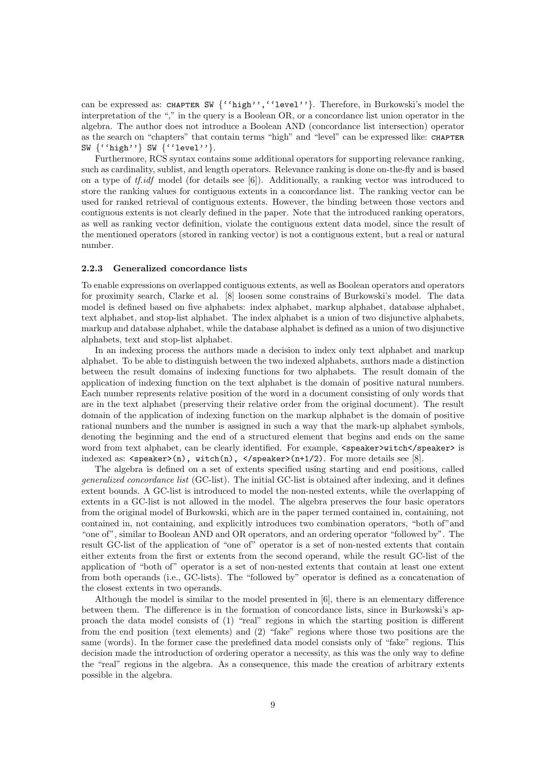can be expressed as: CHAPTER SW {''high'',''level''}. Therefore, in Burkowski's model the interpretation of the "," in the query is a Boolean OR, or a concordance list union operator in the algebra. The author does not introduce a Boolean AND (concordance list intersection) operator as the search on "chapters" that contain terms "high" and "level" can be expressed like: CHAPTER SW {''high''} SW {''level''}.

Furthermore, RCS syntax contains some additional operators for supporting relevance ranking, such as cardinality, sublist, and length operators. Relevance ranking is done on-the-fly and is based on a type of the the model (for details see [6]). Additionally, a ranking vector was introduced to store the ranking values for contiguous extents in a concordance list. The ranking vector can be used for ranked retrieval of contiguous extents. However, the binding between those vectors and contiguous extents is not clearly defined in the paper. Note that the introduced ranking operators, as well as ranking vector definition, violate the contiguous extent data model, since the result of the mentioned operators (stored in ranking vector) is not a contiguous extent, but a real or natural number.

#### 2.2.3 Generalized concordance lists

To enable expressions on overlapped contiguous extents, as well as Boolean operators and operators for proximity search, Clarke et al. [8] loosen some constrains of Burkowski's model. The data model is defined based on five alphabets: index alphabet, markup alphabet, database alphabet, text alphabet, and stop-list alphabet. The index alphabet is a union of two disjunctive alphabets, markup and database alphabet, while the database alphabet is defined as a union of two disjunctive alphabets, text and stop-list alphabet.

In an indexing process the authors made a decision to index only text alphabet and markup alphabet. To be able to distinguish between the two indexed alphabets, authors made a distinction between the result domains of indexing functions for two alphabets. The result domain of the application of indexing function on the text alphabet is the domain of positive natural numbers. Each number represents relative position of the word in a document consisting of only words that are in the text alphabet (preserving their relative order from the original document). The result domain of the application of indexing function on the markup alphabet is the domain of positive rational numbers and the number is assigned in such a way that the mark-up alphabet symbols, denoting the beginning and the end of a structured element that begins and ends on the same word from text alphabet, can be clearly identified. For example, <speaker>witch</speaker> is indexed as:  $\langle$  speaker>(n), with (n),  $\langle$ ypeaker>(n+1/2). For more details see [8].

The algebra is defined on a set of extents specified using starting and end positions, called generalized concordance list (GC-list). The initial GC-list is obtained after indexing, and it defines extent bounds. A GC-list is introduced to model the non-nested extents, while the overlapping of extents in a GC-list is not allowed in the model. The algebra preserves the four basic operators from the original model of Burkowski, which are in the paper termed contained in, containing, not contained in, not containing, and explicitly introduces two combination operators, "both of"and "one of", similar to Boolean AND and OR operators, and an ordering operator "followed by". The result GC-list of the application of "one of" operator is a set of non-nested extents that contain either extents from the first or extents from the second operand, while the result GC-list of the application of "both of" operator is a set of non-nested extents that contain at least one extent from both operands (i.e., GC-lists). The "followed by" operator is defined as a concatenation of the closest extents in two operands.

Although the model is similar to the model presented in [6], there is an elementary difference between them. The difference is in the formation of concordance lists, since in Burkowski's approach the data model consists of (1) "real" regions in which the starting position is different from the end position (text elements) and (2) "fake" regions where those two positions are the same (words). In the former case the predefined data model consists only of "fake" regions. This decision made the introduction of ordering operator a necessity, as this was the only way to define the "real" regions in the algebra. As a consequence, this made the creation of arbitrary extents possible in the algebra.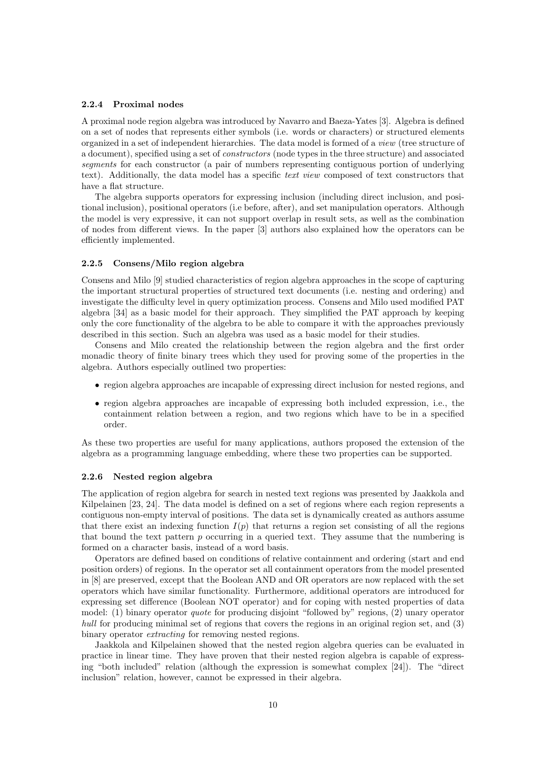#### 2.2.4 Proximal nodes

A proximal node region algebra was introduced by Navarro and Baeza-Yates [3]. Algebra is defined on a set of nodes that represents either symbols (i.e. words or characters) or structured elements organized in a set of independent hierarchies. The data model is formed of a view (tree structure of a document), specified using a set of constructors (node types in the three structure) and associated segments for each constructor (a pair of numbers representing contiguous portion of underlying text). Additionally, the data model has a specific text view composed of text constructors that have a flat structure.

The algebra supports operators for expressing inclusion (including direct inclusion, and positional inclusion), positional operators (i.e before, after), and set manipulation operators. Although the model is very expressive, it can not support overlap in result sets, as well as the combination of nodes from different views. In the paper [3] authors also explained how the operators can be efficiently implemented.

#### 2.2.5 Consens/Milo region algebra

Consens and Milo [9] studied characteristics of region algebra approaches in the scope of capturing the important structural properties of structured text documents (i.e. nesting and ordering) and investigate the difficulty level in query optimization process. Consens and Milo used modified PAT algebra [34] as a basic model for their approach. They simplified the PAT approach by keeping only the core functionality of the algebra to be able to compare it with the approaches previously described in this section. Such an algebra was used as a basic model for their studies.

Consens and Milo created the relationship between the region algebra and the first order monadic theory of finite binary trees which they used for proving some of the properties in the algebra. Authors especially outlined two properties:

- region algebra approaches are incapable of expressing direct inclusion for nested regions, and
- region algebra approaches are incapable of expressing both included expression, i.e., the containment relation between a region, and two regions which have to be in a specified order.

As these two properties are useful for many applications, authors proposed the extension of the algebra as a programming language embedding, where these two properties can be supported.

#### 2.2.6 Nested region algebra

The application of region algebra for search in nested text regions was presented by Jaakkola and Kilpelainen [23, 24]. The data model is defined on a set of regions where each region represents a contiguous non-empty interval of positions. The data set is dynamically created as authors assume that there exist an indexing function  $I(p)$  that returns a region set consisting of all the regions that bound the text pattern p occurring in a queried text. They assume that the numbering is formed on a character basis, instead of a word basis.

Operators are defined based on conditions of relative containment and ordering (start and end position orders) of regions. In the operator set all containment operators from the model presented in [8] are preserved, except that the Boolean AND and OR operators are now replaced with the set operators which have similar functionality. Furthermore, additional operators are introduced for expressing set difference (Boolean NOT operator) and for coping with nested properties of data model: (1) binary operator quote for producing disjoint "followed by" regions, (2) unary operator hull for producing minimal set of regions that covers the regions in an original region set, and (3) binary operator *extracting* for removing nested regions.

Jaakkola and Kilpelainen showed that the nested region algebra queries can be evaluated in practice in linear time. They have proven that their nested region algebra is capable of expressing "both included" relation (although the expression is somewhat complex [24]). The "direct inclusion" relation, however, cannot be expressed in their algebra.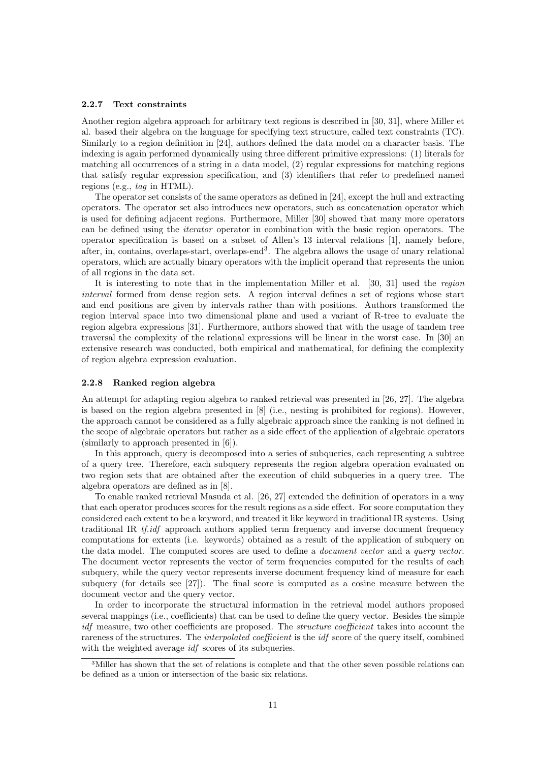#### 2.2.7 Text constraints

Another region algebra approach for arbitrary text regions is described in [30, 31], where Miller et al. based their algebra on the language for specifying text structure, called text constraints (TC). Similarly to a region definition in [24], authors defined the data model on a character basis. The indexing is again performed dynamically using three different primitive expressions: (1) literals for matching all occurrences of a string in a data model, (2) regular expressions for matching regions that satisfy regular expression specification, and (3) identifiers that refer to predefined named regions (e.g., tag in HTML).

The operator set consists of the same operators as defined in [24], except the hull and extracting operators. The operator set also introduces new operators, such as concatenation operator which is used for defining adjacent regions. Furthermore, Miller [30] showed that many more operators can be defined using the iterator operator in combination with the basic region operators. The operator specification is based on a subset of Allen's 13 interval relations [1], namely before, after, in, contains, overlaps-start, overlaps-end<sup>3</sup>. The algebra allows the usage of unary relational operators, which are actually binary operators with the implicit operand that represents the union of all regions in the data set.

It is interesting to note that in the implementation Miller et al. [30, 31] used the region interval formed from dense region sets. A region interval defines a set of regions whose start and end positions are given by intervals rather than with positions. Authors transformed the region interval space into two dimensional plane and used a variant of R-tree to evaluate the region algebra expressions [31]. Furthermore, authors showed that with the usage of tandem tree traversal the complexity of the relational expressions will be linear in the worst case. In [30] an extensive research was conducted, both empirical and mathematical, for defining the complexity of region algebra expression evaluation.

#### 2.2.8 Ranked region algebra

An attempt for adapting region algebra to ranked retrieval was presented in [26, 27]. The algebra is based on the region algebra presented in [8] (i.e., nesting is prohibited for regions). However, the approach cannot be considered as a fully algebraic approach since the ranking is not defined in the scope of algebraic operators but rather as a side effect of the application of algebraic operators (similarly to approach presented in [6]).

In this approach, query is decomposed into a series of subqueries, each representing a subtree of a query tree. Therefore, each subquery represents the region algebra operation evaluated on two region sets that are obtained after the execution of child subqueries in a query tree. The algebra operators are defined as in [8].

To enable ranked retrieval Masuda et al. [26, 27] extended the definition of operators in a way that each operator produces scores for the result regions as a side effect. For score computation they considered each extent to be a keyword, and treated it like keyword in traditional IR systems. Using traditional IR tf.idf approach authors applied term frequency and inverse document frequency computations for extents (i.e. keywords) obtained as a result of the application of subquery on the data model. The computed scores are used to define a document vector and a query vector. The document vector represents the vector of term frequencies computed for the results of each subquery, while the query vector represents inverse document frequency kind of measure for each subquery (for details see [27]). The final score is computed as a cosine measure between the document vector and the query vector.

In order to incorporate the structural information in the retrieval model authors proposed several mappings (i.e., coefficients) that can be used to define the query vector. Besides the simple idf measure, two other coefficients are proposed. The *structure coefficient* takes into account the rareness of the structures. The *interpolated coefficient* is the *idf* score of the query itself, combined with the weighted average *idf* scores of its subqueries.

<sup>3</sup>Miller has shown that the set of relations is complete and that the other seven possible relations can be defined as a union or intersection of the basic six relations.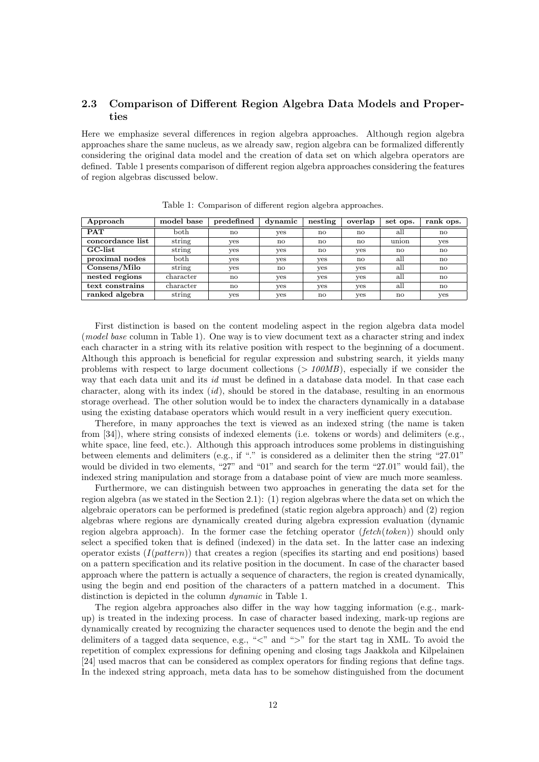# 2.3 Comparison of Different Region Algebra Data Models and Properties

Here we emphasize several differences in region algebra approaches. Although region algebra approaches share the same nucleus, as we already saw, region algebra can be formalized differently considering the original data model and the creation of data set on which algebra operators are defined. Table 1 presents comparison of different region algebra approaches considering the features of region algebras discussed below.

| Approach         | model base | predefined | dynamic      | nesting      | overlap | set ops.     | rank ops. |
|------------------|------------|------------|--------------|--------------|---------|--------------|-----------|
| <b>PAT</b>       | both       | no         | yes          | $\mathbf{n}$ | no      | all          | no        |
| concordance list | string     | yes        | $\mathbf{n}$ | $\mathbf{n}$ | no      | union        | yes       |
| GC-list          | string     | ves        | yes          | $\mathbf{n}$ | yes     | $\mathbf{n}$ | no        |
| proximal nodes   | both       | ves        | yes          | yes          | no      | all          | no        |
| Consens/Milo     | string     | ves        | $\mathbf{n}$ | yes          | yes     | all          | no        |
| nested regions   | character  | no         | yes          | yes          | yes     | all          | no        |
| text constrains  | character  | no         | yes          | yes          | yes     | all          | no        |
| ranked algebra   | string     | ves        | yes          | $\mathbf{n}$ | yes     | $\mathbf{n}$ | yes       |

Table 1: Comparison of different region algebra approaches.

First distinction is based on the content modeling aspect in the region algebra data model (model base column in Table 1). One way is to view document text as a character string and index each character in a string with its relative position with respect to the beginning of a document. Although this approach is beneficial for regular expression and substring search, it yields many problems with respect to large document collections  $(>100MB)$ , especially if we consider the way that each data unit and its id must be defined in a database data model. In that case each character, along with its index  $(id)$ , should be stored in the database, resulting in an enormous storage overhead. The other solution would be to index the characters dynamically in a database using the existing database operators which would result in a very inefficient query execution.

Therefore, in many approaches the text is viewed as an indexed string (the name is taken from [34]), where string consists of indexed elements (i.e. tokens or words) and delimiters (e.g., white space, line feed, etc.). Although this approach introduces some problems in distinguishing between elements and delimiters (e.g., if "." is considered as a delimiter then the string "27.01" would be divided in two elements, "27" and "01" and search for the term "27.01" would fail), the indexed string manipulation and storage from a database point of view are much more seamless.

Furthermore, we can distinguish between two approaches in generating the data set for the region algebra (as we stated in the Section 2.1): (1) region algebras where the data set on which the algebraic operators can be performed is predefined (static region algebra approach) and (2) region algebras where regions are dynamically created during algebra expression evaluation (dynamic region algebra approach). In the former case the fetching operator  $(fetch(token))$  should only select a specified token that is defined (indexed) in the data set. In the latter case an indexing operator exists  $(I(\text{pattern}))$  that creates a region (specifies its starting and end positions) based on a pattern specification and its relative position in the document. In case of the character based approach where the pattern is actually a sequence of characters, the region is created dynamically, using the begin and end position of the characters of a pattern matched in a document. This distinction is depicted in the column dynamic in Table 1.

The region algebra approaches also differ in the way how tagging information (e.g., markup) is treated in the indexing process. In case of character based indexing, mark-up regions are dynamically created by recognizing the character sequences used to denote the begin and the end delimiters of a tagged data sequence, e.g., "<" and ">" for the start tag in XML. To avoid the repetition of complex expressions for defining opening and closing tags Jaakkola and Kilpelainen [24] used macros that can be considered as complex operators for finding regions that define tags. In the indexed string approach, meta data has to be somehow distinguished from the document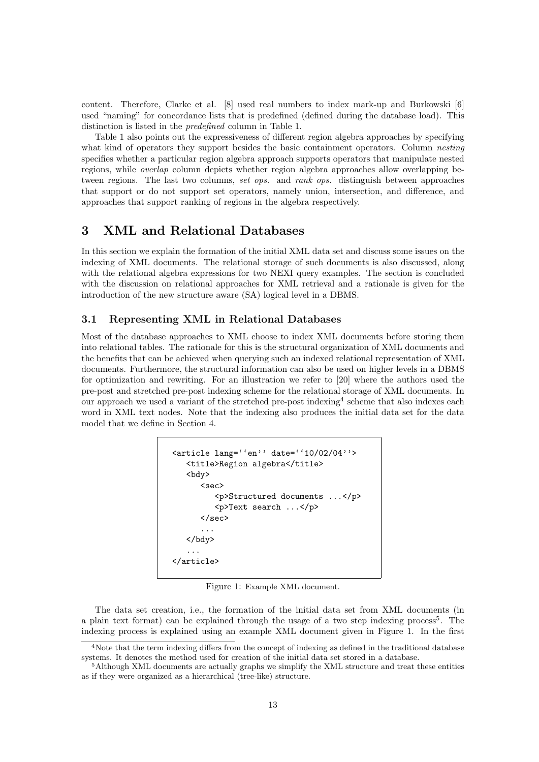content. Therefore, Clarke et al. [8] used real numbers to index mark-up and Burkowski [6] used "naming" for concordance lists that is predefined (defined during the database load). This distinction is listed in the predefined column in Table 1.

Table 1 also points out the expressiveness of different region algebra approaches by specifying what kind of operators they support besides the basic containment operators. Column *nesting* specifies whether a particular region algebra approach supports operators that manipulate nested regions, while overlap column depicts whether region algebra approaches allow overlapping between regions. The last two columns, set ops. and rank ops. distinguish between approaches that support or do not support set operators, namely union, intersection, and difference, and approaches that support ranking of regions in the algebra respectively.

# 3 XML and Relational Databases

In this section we explain the formation of the initial XML data set and discuss some issues on the indexing of XML documents. The relational storage of such documents is also discussed, along with the relational algebra expressions for two NEXI query examples. The section is concluded with the discussion on relational approaches for XML retrieval and a rationale is given for the introduction of the new structure aware (SA) logical level in a DBMS.

# 3.1 Representing XML in Relational Databases

Most of the database approaches to XML choose to index XML documents before storing them into relational tables. The rationale for this is the structural organization of XML documents and the benefits that can be achieved when querying such an indexed relational representation of XML documents. Furthermore, the structural information can also be used on higher levels in a DBMS for optimization and rewriting. For an illustration we refer to [20] where the authors used the pre-post and stretched pre-post indexing scheme for the relational storage of XML documents. In our approach we used a variant of the stretched pre-post indexing<sup>4</sup> scheme that also indexes each word in XML text nodes. Note that the indexing also produces the initial data set for the data model that we define in Section 4.

```
<article lang=''en'' date=''10/02/04''>
   <title>Region algebra</title>
   <bdy>
       <sec>
          <p>Structured documents ...</p>
          <p>Text search ...</p>
      \langle/sec\rangle...
   </bdy>
   ...
</article>
```
Figure 1: Example XML document.

The data set creation, i.e., the formation of the initial data set from XML documents (in a plain text format) can be explained through the usage of a two step indexing process<sup>5</sup>. The indexing process is explained using an example XML document given in Figure 1. In the first

<sup>4</sup>Note that the term indexing differs from the concept of indexing as defined in the traditional database systems. It denotes the method used for creation of the initial data set stored in a database.

<sup>&</sup>lt;sup>5</sup>Although XML documents are actually graphs we simplify the XML structure and treat these entities as if they were organized as a hierarchical (tree-like) structure.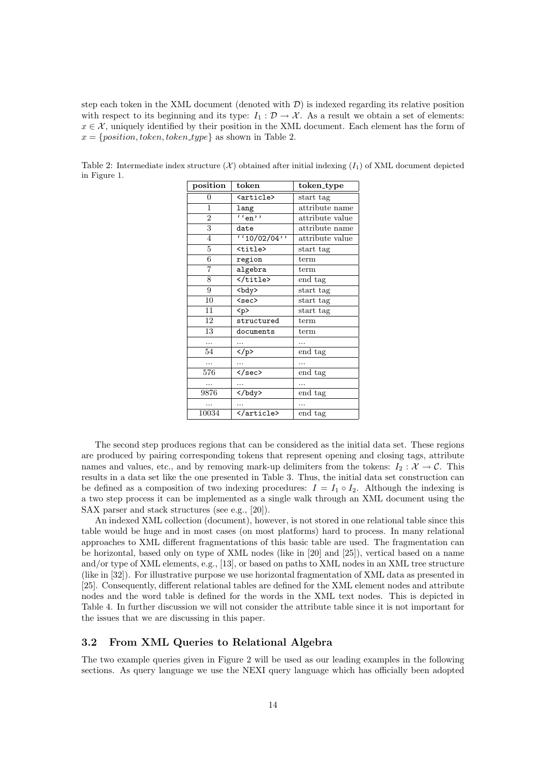step each token in the XML document (denoted with  $D$ ) is indexed regarding its relative position with respect to its beginning and its type:  $I_1 : \mathcal{D} \to \mathcal{X}$ . As a result we obtain a set of elements:  $x \in \mathcal{X}$ , uniquely identified by their position in the XML document. Each element has the form of  $x = \{position, token, token\_type\}$  as shown in Table 2.

Table 2: Intermediate index structure  $(\mathcal{X})$  obtained after initial indexing  $(I_1)$  of XML document depicted in Figure 1.

| position       | token                    | token_type      |
|----------------|--------------------------|-----------------|
| 0              | <article></article>      | start tag       |
| $\mathbf{1}$   | lang                     | attribute name  |
| $\overline{2}$ | $\overline{\cdots_{en}}$ | attribute value |
| 3              | date                     | attribute name  |
| $\overline{4}$ | (10/02/04)               | attribute value |
| $\overline{5}$ | <title></title>          | start tag       |
| 6              | region                   | term            |
| $\overline{7}$ | algebra                  | term            |
| 8              |                          | end tag         |
| 9              | <bdy></bdy>              | start tag       |
| 10             | <sec></sec>              | start tag       |
| 11             | < p >                    | start tag       |
| 12             | structured               | term            |
| 13             | documents                | term            |
| .              |                          |                 |
| 54             | $\langle$ /p>            | end tag         |
|                |                          |                 |
| 576            | $\langle$ /sec>          | end tag         |
| .              |                          |                 |
| 9876           |                          | end tag         |
|                |                          |                 |
| 10034          |                          | end tag         |

The second step produces regions that can be considered as the initial data set. These regions are produced by pairing corresponding tokens that represent opening and closing tags, attribute names and values, etc., and by removing mark-up delimiters from the tokens:  $I_2 : \mathcal{X} \to \mathcal{C}$ . This results in a data set like the one presented in Table 3. Thus, the initial data set construction can be defined as a composition of two indexing procedures:  $I = I_1 \circ I_2$ . Although the indexing is a two step process it can be implemented as a single walk through an XML document using the SAX parser and stack structures (see e.g., [20]).

An indexed XML collection (document), however, is not stored in one relational table since this table would be huge and in most cases (on most platforms) hard to process. In many relational approaches to XML different fragmentations of this basic table are used. The fragmentation can be horizontal, based only on type of XML nodes (like in [20] and [25]), vertical based on a name and/or type of XML elements, e.g., [13], or based on paths to XML nodes in an XML tree structure (like in [32]). For illustrative purpose we use horizontal fragmentation of XML data as presented in [25]. Consequently, different relational tables are defined for the XML element nodes and attribute nodes and the word table is defined for the words in the XML text nodes. This is depicted in Table 4. In further discussion we will not consider the attribute table since it is not important for the issues that we are discussing in this paper.

#### 3.2 From XML Queries to Relational Algebra

The two example queries given in Figure 2 will be used as our leading examples in the following sections. As query language we use the NEXI query language which has officially been adopted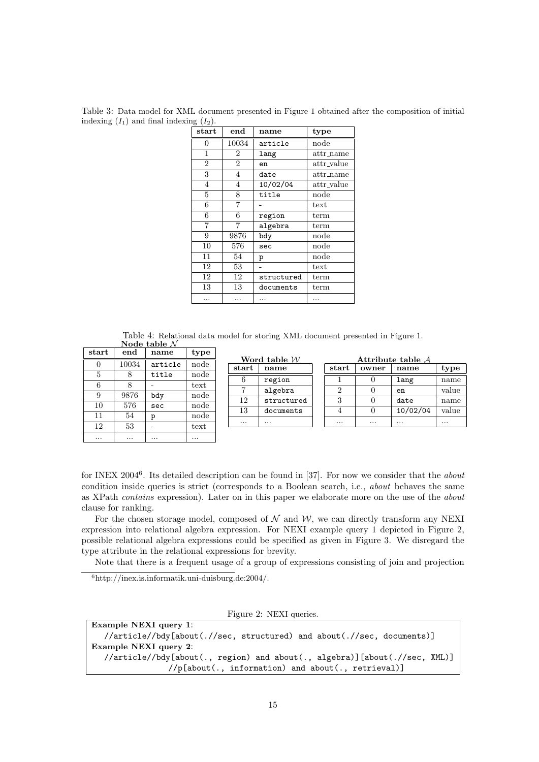| start          | end            | name       | type                     |
|----------------|----------------|------------|--------------------------|
| 0              | 10034          | article    | node                     |
| 1              | 2              | lang       | attr_name                |
| $\overline{2}$ | $\overline{2}$ | en         | attr_value               |
| 3              | $\overline{4}$ | date       | $_{\text{attr_name}}$    |
| 4              | $\overline{4}$ | 10/02/04   | attr_value               |
| 5              | 8              | title      | node                     |
| 6              | 7              |            | $text{text}$             |
| 6              | 6              | region     | term                     |
| $\overline{7}$ | 7              | algebra    | term                     |
| 9              | 9876           | bdy        | node                     |
| 10             | 576            | sec        | node                     |
| 11             | 54             | p          | $\mathop{\mathrm{node}}$ |
| 12             | 53             |            | text                     |
| 12             | 12             | structured | term                     |
| 13             | 13             | documents  | term                     |
|                |                |            |                          |

Table 3: Data model for XML document presented in Figure 1 obtained after the composition of initial indexing  $(I_1)$  and final indexing  $(I_2)$ .

Table 4: Relational data model for storing XML document presented in Figure 1. Node table  $N$ 

| $_{\rm start}$ | end   | name    | type |
|----------------|-------|---------|------|
|                | 10034 | article | node |
| 5              | 8     | title   | node |
| 6              | 8     |         | text |
| 9              | 9876  | bdy     | node |
| 10             | 576   | sec     | node |
| 11             | 54    | p       | node |
| 12             | 53    |         | text |
|                |       |         |      |

Word table  $\mathcal W$ start | name 6 region 7 algebra 12 structured 13 documents .... ....

| Attribute table A |       |          |       |  |
|-------------------|-------|----------|-------|--|
| start             | owner | name     | type  |  |
|                   |       | lang     | name  |  |
|                   |       | en       | value |  |
|                   |       | date     | name  |  |
|                   |       | 10/02/04 | value |  |
|                   |       |          |       |  |

for INEX 2004<sup>6</sup>. Its detailed description can be found in [37]. For now we consider that the *about* condition inside queries is strict (corresponds to a Boolean search, i.e., about behaves the same as XPath contains expression). Later on in this paper we elaborate more on the use of the about clause for ranking.

For the chosen storage model, composed of  $N$  and  $W$ , we can directly transform any NEXI expression into relational algebra expression. For NEXI example query 1 depicted in Figure 2, possible relational algebra expressions could be specified as given in Figure 3. We disregard the type attribute in the relational expressions for brevity.

Note that there is a frequent usage of a group of expressions consisting of join and projection

<sup>6</sup>http://inex.is.informatik.uni-duisburg.de:2004/.

Figure 2: NEXI queries.

| Example NEXI query 1:                                                      |
|----------------------------------------------------------------------------|
| //article//bdy[about(.//sec, structured) and about(.//sec, documents)]     |
| Example NEXI query 2:                                                      |
| //article//bdy[about(., region) and about(., algebra)][about(.//sec, XML)] |
| //p[about(., information) and about(., retrieval)]                         |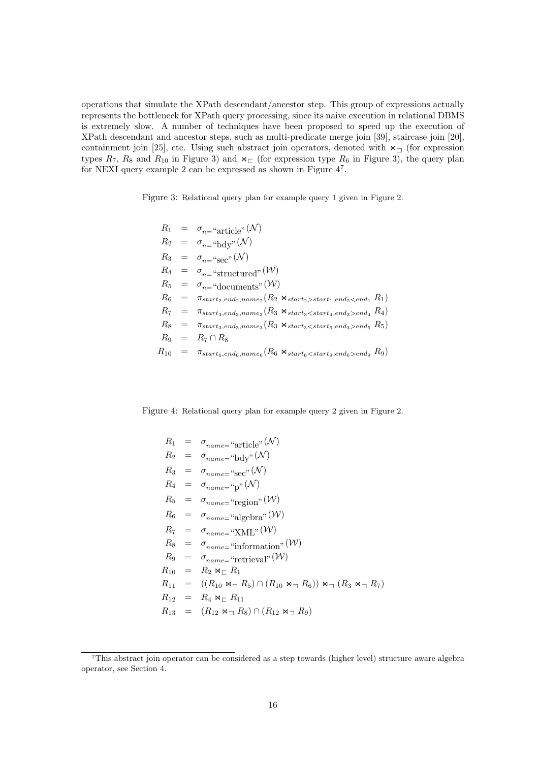operations that simulate the XPath descendant/ancestor step. This group of expressions actually represents the bottleneck for XPath query processing, since its naive execution in relational DBMS is extremely slow. A number of techniques have been proposed to speed up the execution of XPath descendant and ancestor steps, such as multi-predicate merge join [39], staircase join [20], containment join [25], etc. Using such abstract join operators, denoted with  $\bowtie_{\square}$  (for expression types  $R_7$ ,  $R_8$  and  $R_{10}$  in Figure 3) and  $\mathbb{M}_{\square}$  (for expression type  $R_6$  in Figure 3), the query plan for NEXI query example 2 can be expressed as shown in Figure  $4^7$ .

Figure 3: Relational query plan for example query 1 given in Figure 2.

$$
R_1 = \sigma_{n=}^{\circ} \text{article}^{\circ}(\mathcal{N})
$$
  
\n
$$
R_2 = \sigma_{n=}^{\circ} \text{bdy}^{\circ}(\mathcal{N})
$$
  
\n
$$
R_3 = \sigma_{n=}^{\circ} \text{sec}^{\circ}(\mathcal{N})
$$
  
\n
$$
R_4 = \sigma_{n=}^{\circ} \text{structured}^{\circ}(\mathcal{W})
$$
  
\n
$$
R_5 = \sigma_{n=}^{\circ} \text{documents}^{\circ}(\mathcal{W})
$$
  
\n
$$
R_6 = \pi_{start_2, end_2, name_2} (R_2 \bowtie_{start_2 > start_1, end_2 < end_1} R_1)
$$
  
\n
$$
R_7 = \pi_{start_3, end_3, name_3} (R_3 \bowtie_{start_3 < start_4, end_3 > end_4} R_4)
$$
  
\n
$$
R_8 = \pi_{start_3, end_3, name_3} (R_3 \bowtie_{start_3 < start_5, end_3 > end_5} R_5)
$$
  
\n
$$
R_9 = R_7 \cap R_8
$$
  
\n
$$
R_{10} = \pi_{start_6, end_6, name_6} (R_6 \bowtie_{start_6 < start_9, end_6 > end_9} R_9)
$$

Figure 4: Relational query plan for example query 2 given in Figure 2.

$$
R_1 = \sigma_{name="article}^{\circ}(N)
$$
  
\n
$$
R_2 = \sigma_{name="bdy}^{\circ}(N)
$$
  
\n
$$
R_3 = \sigma_{name="sec}^{\circ}(N)
$$
  
\n
$$
R_4 = \sigma_{name="pc}^{\circ}(N)
$$
  
\n
$$
R_5 = \sigma_{name="region}^{\circ}(N)
$$
  
\n
$$
R_6 = \sigma_{name="neg}(N)
$$
  
\n
$$
R_7 = \sigma_{name="Algebra}^{\circ}(N)
$$
  
\n
$$
R_8 = \sigma_{name="Alufy}(N)
$$
  
\n
$$
R_8 = \sigma_{name="information}^{\circ}(N)
$$
  
\n
$$
R_9 = \sigma_{name="irification}^{\circ}(N)
$$
  
\n
$$
R_9 = \sigma_{name="retrieval}^{\circ}(N)
$$
  
\n
$$
R_{10} = R_2 \Join_{\square} R_1
$$
  
\n
$$
R_{11} = ((R_{10} \Join_{\square} R_5) \cap (R_{10} \Join_{\square} R_6)) \Join_{\square} (R_3 \Join_{\square} R_7)
$$
  
\n
$$
R_{12} = R_4 \Join_{\square} R_{11}
$$
  
\n
$$
R_{13} = (R_{12} \Join_{\square} R_8) \cap (R_{12} \Join_{\square} R_9)
$$

<sup>7</sup>This abstract join operator can be considered as a step towards (higher level) structure aware algebra operator, see Section 4.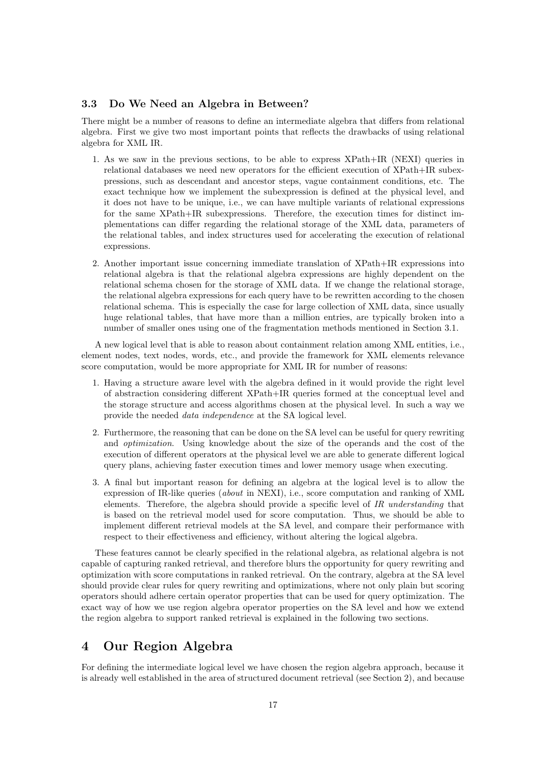# 3.3 Do We Need an Algebra in Between?

There might be a number of reasons to define an intermediate algebra that differs from relational algebra. First we give two most important points that reflects the drawbacks of using relational algebra for XML IR.

- 1. As we saw in the previous sections, to be able to express XPath+IR (NEXI) queries in relational databases we need new operators for the efficient execution of XPath+IR subexpressions, such as descendant and ancestor steps, vague containment conditions, etc. The exact technique how we implement the subexpression is defined at the physical level, and it does not have to be unique, i.e., we can have multiple variants of relational expressions for the same XPath+IR subexpressions. Therefore, the execution times for distinct implementations can differ regarding the relational storage of the XML data, parameters of the relational tables, and index structures used for accelerating the execution of relational expressions.
- 2. Another important issue concerning immediate translation of XPath+IR expressions into relational algebra is that the relational algebra expressions are highly dependent on the relational schema chosen for the storage of XML data. If we change the relational storage, the relational algebra expressions for each query have to be rewritten according to the chosen relational schema. This is especially the case for large collection of XML data, since usually huge relational tables, that have more than a million entries, are typically broken into a number of smaller ones using one of the fragmentation methods mentioned in Section 3.1.

A new logical level that is able to reason about containment relation among XML entities, i.e., element nodes, text nodes, words, etc., and provide the framework for XML elements relevance score computation, would be more appropriate for XML IR for number of reasons:

- 1. Having a structure aware level with the algebra defined in it would provide the right level of abstraction considering different XPath+IR queries formed at the conceptual level and the storage structure and access algorithms chosen at the physical level. In such a way we provide the needed data independence at the SA logical level.
- 2. Furthermore, the reasoning that can be done on the SA level can be useful for query rewriting and optimization. Using knowledge about the size of the operands and the cost of the execution of different operators at the physical level we are able to generate different logical query plans, achieving faster execution times and lower memory usage when executing.
- 3. A final but important reason for defining an algebra at the logical level is to allow the expression of IR-like queries (about in NEXI), i.e., score computation and ranking of XML elements. Therefore, the algebra should provide a specific level of IR understanding that is based on the retrieval model used for score computation. Thus, we should be able to implement different retrieval models at the SA level, and compare their performance with respect to their effectiveness and efficiency, without altering the logical algebra.

These features cannot be clearly specified in the relational algebra, as relational algebra is not capable of capturing ranked retrieval, and therefore blurs the opportunity for query rewriting and optimization with score computations in ranked retrieval. On the contrary, algebra at the SA level should provide clear rules for query rewriting and optimizations, where not only plain but scoring operators should adhere certain operator properties that can be used for query optimization. The exact way of how we use region algebra operator properties on the SA level and how we extend the region algebra to support ranked retrieval is explained in the following two sections.

# 4 Our Region Algebra

For defining the intermediate logical level we have chosen the region algebra approach, because it is already well established in the area of structured document retrieval (see Section 2), and because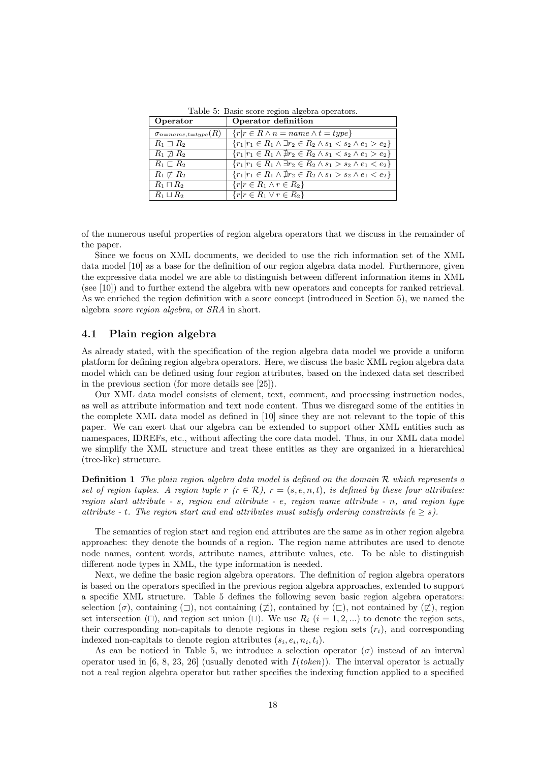| Operator                         | Operator definition                                                              |
|----------------------------------|----------------------------------------------------------------------------------|
| $\sigma_{n = name, t = type}(R)$ | $\{r r \in R \wedge n = name \wedge t = type\}$                                  |
| $R_1 \supset R_2$                | ${r_1 r_1 \in R_1 \land \exists r_2 \in R_2 \land s_1 < s_2 \land e_1 > e_2}$    |
| $R_1 \not\sqsupset R_2$          | ${r_1 r_1 \in R_1 \land \nexists r_2 \in R_2 \land s_1 \lt s_2 \land e_1 > e_2}$ |
| $R_1 \sqsubset R_2$              | ${r_1 r_1 \in R_1 \land \exists r_2 \in R_2 \land s_1 > s_2 \land e_1 < e_2}$    |
| $R_1 \not\sqsubset R_2$          | ${r_1 r_1 \in R_1 \land \nexists r_2 \in R_2 \land s_1 > s_2 \land e_1 < e_2}$   |
| $R_1 \sqcap R_2$                 | $\{r r \in R_1 \wedge r \in R_2\}$                                               |
| $R_1 \sqcup R_2$                 | $\{r r \in R_1 \vee r \in R_2\}$                                                 |

Table 5: Basic score region algebra operators.

of the numerous useful properties of region algebra operators that we discuss in the remainder of the paper.

Since we focus on XML documents, we decided to use the rich information set of the XML data model [10] as a base for the definition of our region algebra data model. Furthermore, given the expressive data model we are able to distinguish between different information items in XML (see [10]) and to further extend the algebra with new operators and concepts for ranked retrieval. As we enriched the region definition with a score concept (introduced in Section 5), we named the algebra score region algebra, or SRA in short.

### 4.1 Plain region algebra

As already stated, with the specification of the region algebra data model we provide a uniform platform for defining region algebra operators. Here, we discuss the basic XML region algebra data model which can be defined using four region attributes, based on the indexed data set described in the previous section (for more details see [25]).

Our XML data model consists of element, text, comment, and processing instruction nodes, as well as attribute information and text node content. Thus we disregard some of the entities in the complete XML data model as defined in [10] since they are not relevant to the topic of this paper. We can exert that our algebra can be extended to support other XML entities such as namespaces, IDREFs, etc., without affecting the core data model. Thus, in our XML data model we simplify the XML structure and treat these entities as they are organized in a hierarchical (tree-like) structure.

**Definition 1** The plain region algebra data model is defined on the domain  $\mathcal{R}$  which represents a set of region tuples. A region tuple r  $(r \in \mathcal{R})$ ,  $r = (s, e, n, t)$ , is defined by these four attributes: region start attribute - s, region end attribute - e, region name attribute - n, and region type attribute - t. The region start and end attributes must satisfy ordering constraints ( $e \geq s$ ).

The semantics of region start and region end attributes are the same as in other region algebra approaches: they denote the bounds of a region. The region name attributes are used to denote node names, content words, attribute names, attribute values, etc. To be able to distinguish different node types in XML, the type information is needed.

Next, we define the basic region algebra operators. The definition of region algebra operators is based on the operators specified in the previous region algebra approaches, extended to support a specific XML structure. Table 5 defines the following seven basic region algebra operators: selection  $(\sigma)$ , containing  $(\Box)$ , not containing  $(\not\Box)$ , contained by  $(\Box)$ , not contained by  $(\not\Box)$ , region set intersection ( $\Box$ ), and region set union ( $\Box$ ). We use  $R_i$  ( $i = 1, 2, \dots$ ) to denote the region sets. their corresponding non-capitals to denote regions in these region sets  $(r_i)$ , and corresponding indexed non-capitals to denote region attributes  $(s_i, e_i, n_i, t_i)$ .

As can be noticed in Table 5, we introduce a selection operator  $(\sigma)$  instead of an interval operator used in [6, 8, 23, 26] (usually denoted with  $I(token)$ ). The interval operator is actually not a real region algebra operator but rather specifies the indexing function applied to a specified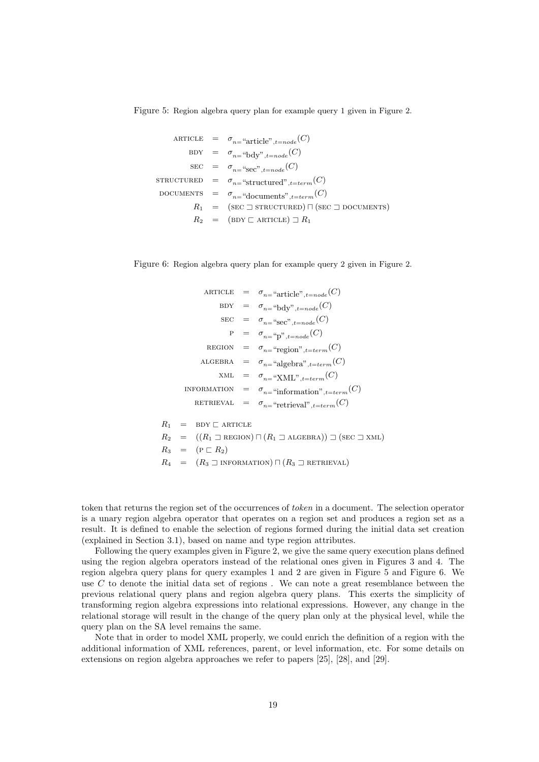Figure 5: Region algebra query plan for example query 1 given in Figure 2.

ARTICE 
$$
= \sigma_{n} = \text{article}^{\circ}, t = node(C)
$$
  
\n
$$
BDY = \sigma_{n} = \text{"bdy"}, t = node(C)
$$
  
\n
$$
SEC = \sigma_{n} = \text{``sec''}, t = node(C)
$$
  
\n
$$
STATETURED = \sigma_{n} = \text{``structured''}, t = term(C)
$$
  
\n
$$
DOCUMENTS = \sigma_{n} = \text{``documents''}, t = term(C)
$$
  
\n
$$
R_1 = (\text{SEC } \sqsupset \text{ STRUCTURED}) \sqcap (\text{SEC } \sqsupset \text{DOCIMENTS})
$$
  
\n
$$
R_2 = (\text{BDY } \sqsubset \text{ARTICE}) \sqsupset R_1
$$

Figure 6: Region algebra query plan for example query 2 given in Figure 2.

ARTICLE = 
$$
\sigma_{n=}
$$
 "article",  $t=node(C)$   
\nBDY =  $\sigma_{n=}$  "bdy",  $t=node(C)$   
\nSEC =  $\sigma_{n=}$  "sec",  $t=node(C)$   
\n  
\nP =  $\sigma_{n=}$  "p",  $t=node(C)$   
\nREGION =  $\sigma_{n=}$  "region",  $t=term(C)$   
\nALGEBRA =  $\sigma_{n=}$  "algebra",  $t=term(C)$   
\nXML =  $\sigma_{n=}$  "XML",  $t=term(C)$   
\nINFORMATION =  $\sigma_{n=}$  "information",  $t=term(C)$   
\nRETRIEVAL =  $\sigma_{n=}$  "retrieval",  $t=term(C)$   
\n  
\nR<sub>1</sub> = BDY  $\sqsubset$  ARTICLE  
\nR<sub>2</sub> = ((R<sub>1</sub>  $\sqsupset$  REGION)  $\sqcap$  (R<sub>1</sub>  $\sqsupset$  ALGEBRA))  $\sqsupset$  (SEC  $\sqsupset$  XML)  
\nR<sub>3</sub> = (P  $\sqsubset$  R<sub>2</sub>)  
\nR<sub>4</sub> = (R<sub>3</sub>  $\sqsupset$  INFORMATION)  $\sqcap$  (R<sub>3</sub>  $\sqsupset$  RETRIEVAL)

token that returns the region set of the occurrences of token in a document. The selection operator is a unary region algebra operator that operates on a region set and produces a region set as a result. It is defined to enable the selection of regions formed during the initial data set creation (explained in Section 3.1), based on name and type region attributes.

Following the query examples given in Figure 2, we give the same query execution plans defined using the region algebra operators instead of the relational ones given in Figures 3 and 4. The region algebra query plans for query examples 1 and 2 are given in Figure 5 and Figure 6. We use C to denote the initial data set of regions . We can note a great resemblance between the previous relational query plans and region algebra query plans. This exerts the simplicity of transforming region algebra expressions into relational expressions. However, any change in the relational storage will result in the change of the query plan only at the physical level, while the query plan on the SA level remains the same.

Note that in order to model XML properly, we could enrich the definition of a region with the additional information of XML references, parent, or level information, etc. For some details on extensions on region algebra approaches we refer to papers [25], [28], and [29].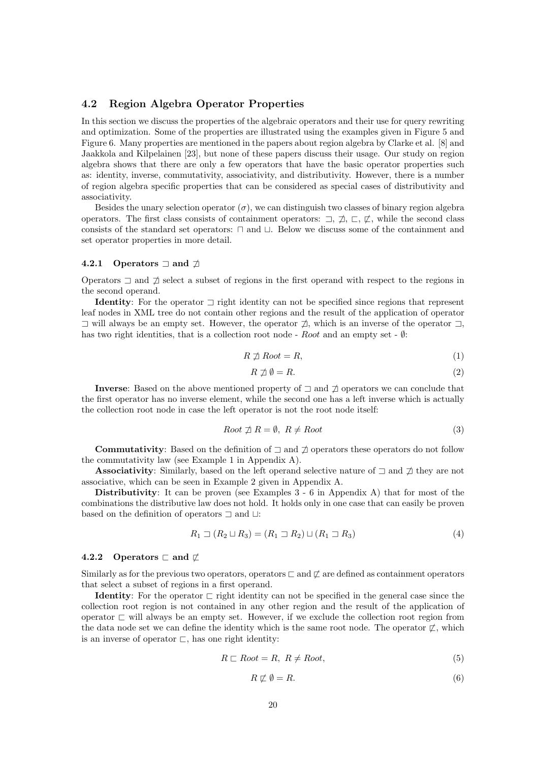# 4.2 Region Algebra Operator Properties

In this section we discuss the properties of the algebraic operators and their use for query rewriting and optimization. Some of the properties are illustrated using the examples given in Figure 5 and Figure 6. Many properties are mentioned in the papers about region algebra by Clarke et al. [8] and Jaakkola and Kilpelainen [23], but none of these papers discuss their usage. Our study on region algebra shows that there are only a few operators that have the basic operator properties such as: identity, inverse, commutativity, associativity, and distributivity. However, there is a number of region algebra specific properties that can be considered as special cases of distributivity and associativity.

Besides the unary selection operator  $(\sigma)$ , we can distinguish two classes of binary region algebra operators. The first class consists of containment operators:  $\exists$ ,  $\sharp$ ,  $\sqsubset$ ,  $\sharp$ , while the second class consists of the standard set operators:  $\Box$  and  $\Box$ . Below we discuss some of the containment and set operator properties in more detail.

#### 4.2.1 Operators  $\Box$  and  $\Box$

Operators  $\exists$  and  $\sharp$  select a subset of regions in the first operand with respect to the regions in the second operand.

Identity: For the operator  $\exists$  right identity can not be specified since regions that represent leaf nodes in XML tree do not contain other regions and the result of the application of operator  $\exists$  will always be an empty set. However, the operator  $\sharp$ , which is an inverse of the operator  $\exists$ , has two right identities, that is a collection root node -  $Root$  and an empty set -  $\emptyset$ :

$$
R \not\sqsupset \textit{Root} = R,\tag{1}
$$

$$
R \not\supset \emptyset = R. \tag{2}
$$

Inverse: Based on the above mentioned property of  $\exists$  and  $\not\exists$  operators we can conclude that the first operator has no inverse element, while the second one has a left inverse which is actually the collection root node in case the left operator is not the root node itself:

$$
Root \npreceq R = \emptyset, \ R \neq Root
$$
\n
$$
(3)
$$

**Commutativity**: Based on the definition of  $\exists$  and  $\nexists$  operators these operators do not follow the commutativity law (see Example 1 in Appendix A).

**Associativity**: Similarly, based on the left operand selective nature of  $\exists$  and  $\nexists$  they are not associative, which can be seen in Example 2 given in Appendix A.

Distributivity: It can be proven (see Examples  $3 - 6$  in Appendix A) that for most of the combinations the distributive law does not hold. It holds only in one case that can easily be proven based on the definition of operators  $\Box$  and  $\Box$ :

$$
R_1 \sqsupset (R_2 \sqcup R_3) = (R_1 \sqsupset R_2) \sqcup (R_1 \sqsupset R_3)
$$
\n(4)

#### 4.2.2 Operators  $\Box$  and  $\not\Box$

Similarly as for the previous two operators, operators  $\sqsubset$  and  $\not\sqsubset$  are defined as containment operators that select a subset of regions in a first operand.

**Identity:** For the operator  $\Gamma$  right identity can not be specified in the general case since the collection root region is not contained in any other region and the result of the application of operator  $\sqsubset$  will always be an empty set. However, if we exclude the collection root region from the data node set we can define the identity which is the same root node. The operator  $\not\sqsubset$ , which is an inverse of operator  $\sqsubset$ , has one right identity:

$$
R \sqsubset Root = R, \ R \neq Root,
$$
\n<sup>(5)</sup>

$$
R \not\sqsubset \emptyset = R. \tag{6}
$$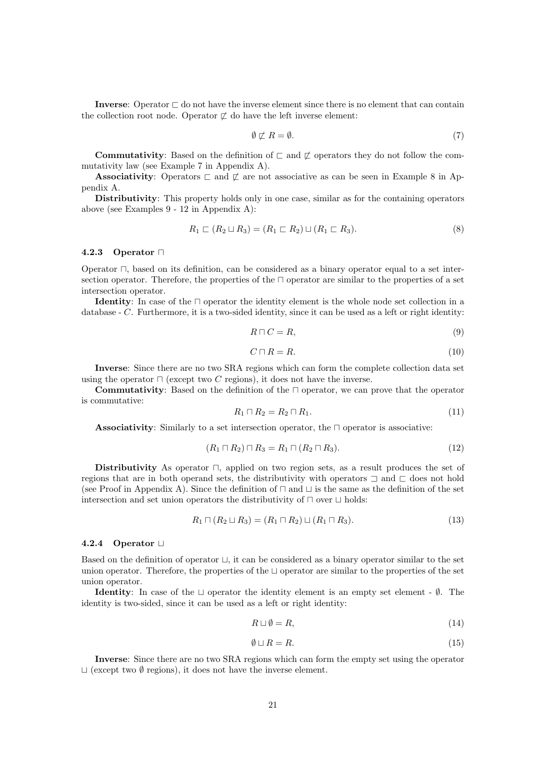Inverse: Operator  $\sqsubset$  do not have the inverse element since there is no element that can contain the collection root node. Operator  $\not\sqsubset$  do have the left inverse element:

$$
\emptyset \not\sqsubset R = \emptyset. \tag{7}
$$

**Commutativity**: Based on the definition of  $\sqsubset$  and  $\mathbb{Z}$  operators they do not follow the commutativity law (see Example 7 in Appendix A).

**Associativity**: Operators  $\sqsubset$  and  $\not\sqsubset$  are not associative as can be seen in Example 8 in Appendix A.

Distributivity: This property holds only in one case, similar as for the containing operators above (see Examples 9 - 12 in Appendix A):

$$
R_1 \sqsubset (R_2 \sqcup R_3) = (R_1 \sqsubset R_2) \sqcup (R_1 \sqsubset R_3). \tag{8}
$$

#### 4.2.3 Operator  $\Box$

Operator  $\Box$ , based on its definition, can be considered as a binary operator equal to a set intersection operator. Therefore, the properties of the  $\Box$  operator are similar to the properties of a set intersection operator.

**Identity**: In case of the  $\Box$  operator the identity element is the whole node set collection in a database - C. Furthermore, it is a two-sided identity, since it can be used as a left or right identity:

$$
R \sqcap C = R,\tag{9}
$$

$$
C \sqcap R = R. \tag{10}
$$

Inverse: Since there are no two SRA regions which can form the complete collection data set using the operator  $\Box$  (except two C regions), it does not have the inverse.

**Commutativity**: Based on the definition of the  $\Box$  operator, we can prove that the operator is commutative:

$$
R_1 \sqcap R_2 = R_2 \sqcap R_1. \tag{11}
$$

Associativity: Similarly to a set intersection operator, the  $\Box$  operator is associative:

$$
(R_1 \sqcap R_2) \sqcap R_3 = R_1 \sqcap (R_2 \sqcap R_3). \tag{12}
$$

Distributivity As operator  $\Box$ , applied on two region sets, as a result produces the set of regions that are in both operand sets, the distributivity with operators  $\Box$  and  $\Box$  does not hold (see Proof in Appendix A). Since the definition of  $\sqcap$  and  $\sqcup$  is the same as the definition of the set intersection and set union operators the distributivity of  $\Box$  over  $\Box$  holds:

$$
R_1 \sqcap (R_2 \sqcup R_3) = (R_1 \sqcap R_2) \sqcup (R_1 \sqcap R_3). \tag{13}
$$

#### 4.2.4 Operator  $\Box$

Based on the definition of operator  $\sqcup$ , it can be considered as a binary operator similar to the set union operator. Therefore, the properties of the  $\sqcup$  operator are similar to the properties of the set union operator.

**Identity:** In case of the  $\sqcup$  operator the identity element is an empty set element -  $\emptyset$ . The identity is two-sided, since it can be used as a left or right identity:

$$
R \sqcup \emptyset = R,\tag{14}
$$

$$
\emptyset \sqcup R = R. \tag{15}
$$

Inverse: Since there are no two SRA regions which can form the empty set using the operator  $\Box$  (except two  $\emptyset$  regions), it does not have the inverse element.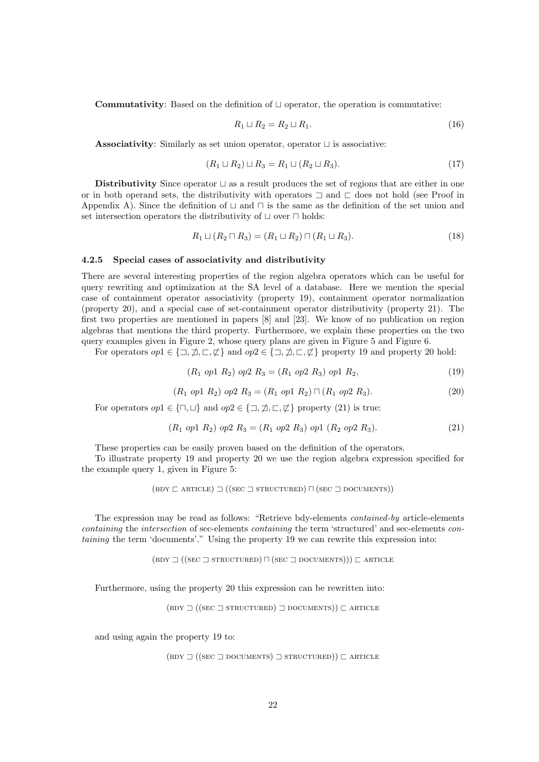**Commutativity**: Based on the definition of  $\sqcup$  operator, the operation is commutative:

$$
R_1 \sqcup R_2 = R_2 \sqcup R_1. \tag{16}
$$

Associativity: Similarly as set union operator, operator  $\sqcup$  is associative:

$$
(R_1 \sqcup R_2) \sqcup R_3 = R_1 \sqcup (R_2 \sqcup R_3). \tag{17}
$$

Distributivity Since operator  $\sqcup$  as a result produces the set of regions that are either in one or in both operand sets, the distributivity with operators  $\Box$  and  $\Box$  does not hold (see Proof in Appendix A). Since the definition of  $\sqcup$  and  $\sqcap$  is the same as the definition of the set union and set intersection operators the distributivity of  $\sqcup$  over  $\sqcap$  holds:

$$
R_1 \sqcup (R_2 \sqcap R_3) = (R_1 \sqcup R_2) \sqcap (R_1 \sqcup R_3). \tag{18}
$$

#### 4.2.5 Special cases of associativity and distributivity

There are several interesting properties of the region algebra operators which can be useful for query rewriting and optimization at the SA level of a database. Here we mention the special case of containment operator associativity (property 19), containment operator normalization (property 20), and a special case of set-containment operator distributivity (property 21). The first two properties are mentioned in papers [8] and [23]. We know of no publication on region algebras that mentions the third property. Furthermore, we explain these properties on the two query examples given in Figure 2, whose query plans are given in Figure 5 and Figure 6.

For operators  $op1 \in \{ \exists, \not\exists, \sqsubset, \not\sqsubset \}$  and  $op2 \in \{ \exists, \not\sqsupset, \sqsubset, \not\sqsubset \}$  property 19 and property 20 hold:

$$
(R_1 \text{ op1 } R_2) \text{ op2 } R_3 = (R_1 \text{ op2 } R_3) \text{ op1 } R_2,\tag{19}
$$

$$
(R_1 \text{ op1 } R_2) \text{ op2 } R_3 = (R_1 \text{ op1 } R_2) \sqcap (R_1 \text{ op2 } R_3). \tag{20}
$$

For operators  $op1 \in {\bigcap, \sqcup \}$  and  $op2 \in {\bigcup, \not\sqsupset}, \sqsubset, \not\sqsubset}$  property (21) is true:

$$
(R_1 \text{ op1 } R_2) \text{ op2 } R_3 = (R_1 \text{ op2 } R_3) \text{ op1 } (R_2 \text{ op2 } R_3). \tag{21}
$$

These properties can be easily proven based on the definition of the operators.

To illustrate property 19 and property 20 we use the region algebra expression specified for the example query 1, given in Figure 5:

$$
(BDY \sqsubset ARTICLE) \sqsupset ((SEC \sqsupset STRUCTURED) \sqcap (SEC \sqsupset DOCUMENTS))
$$

The expression may be read as follows: "Retrieve bdy-elements contained-by article-elements containing the intersection of sec-elements containing the term 'structured' and sec-elements containing the term 'documents'." Using the property 19 we can rewrite this expression into:

 $(BDY \rightrightarrows ((SEC \rightrightarrows STRUCTURED) \sqcap (SEC \rightrightarrows DOCUMENTS))) \rightrightarrows ARTICE$ 

Furthermore, using the property 20 this expression can be rewritten into:

 $(BDY \rightrightarrows ((SEC \rightrightarrows STRUCTURED) \rightrightarrows DOCUMENTS)) \rightrightarrows ARTICE$ 

and using again the property 19 to:

 $(BDY \rightrightarrows ((SEC \rightrightarrows DOCUMENTS) \rightrightarrows STRUCTURED)) \rightrightarrows ARTICE$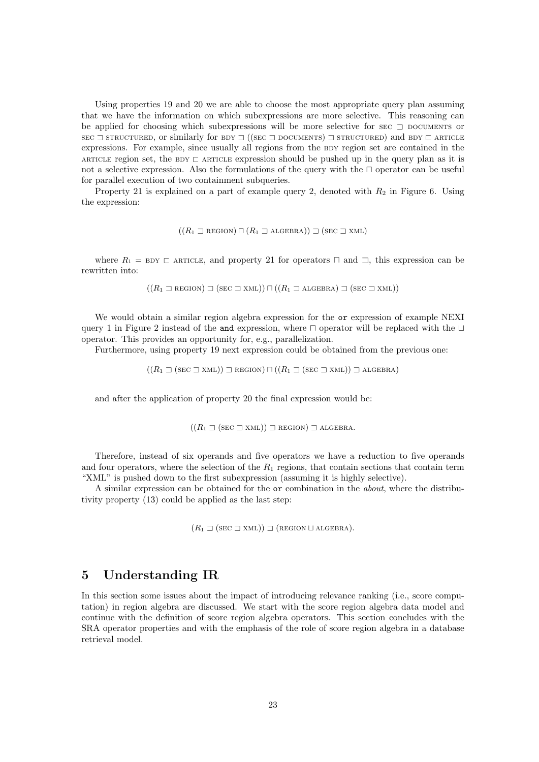Using properties 19 and 20 we are able to choose the most appropriate query plan assuming that we have the information on which subexpressions are more selective. This reasoning can be applied for choosing which subexpressions will be more selective for sec  $\supset$  DOCUMENTS or  $\text{sec} \supset \text{structure}$ , or similarly for  $\text{BDY} \supset ((\text{sec} \supset \text{DCUMENTS}) \supset \text{structure}$  and  $\text{BDY} \supset \text{ARTICE}$ expressions. For example, since usually all regions from the BDY region set are contained in the ARTICLE region set, the BDY  $\sqsubset$  ARTICLE expression should be pushed up in the query plan as it is not a selective expression. Also the formulations of the query with the  $\Box$  operator can be useful for parallel execution of two containment subqueries.

Property 21 is explained on a part of example query 2, denoted with  $R_2$  in Figure 6. Using the expression:

$$
((R_1 \sqsupset \text{region}) \sqcap (R_1 \sqsupset \text{algebra})) \sqsupset (\text{sec} \sqsupset \text{xml})
$$

where  $R_1 = BDY \sqsubset$  ARTICLE, and property 21 for operators  $\sqcap$  and  $\sqsupset$ , this expression can be rewritten into:

$$
((R_1 \sqsupset \text{REGION}) \sqsupset (\text{sec} \sqsupset \text{XML})) \sqcap ((R_1 \sqsupset \text{ALGEBRA}) \sqsupset (\text{sec} \sqsupset \text{XML}))
$$

We would obtain a similar region algebra expression for the or expression of example NEXI query 1 in Figure 2 instead of the and expression, where  $\Box$  operator will be replaced with the  $\Box$ operator. This provides an opportunity for, e.g., parallelization.

Furthermore, using property 19 next expression could be obtained from the previous one:

 $((R_1 \sqsupset (\text{sec } \sqsupset \text{XML})) \sqsupset \text{REGION}) \sqcap ((R_1 \sqsupset (\text{sec } \sqsupset \text{XML})) \sqsupset \text{ALGEBRA})$ 

and after the application of property 20 the final expression would be:

$$
((R_1 \sqsupset (\text{sec} \sqsupset \text{XML})) \sqsupset \text{region}) \sqsupset \text{ALGEBRA}.
$$

Therefore, instead of six operands and five operators we have a reduction to five operands and four operators, where the selection of the  $R_1$  regions, that contain sections that contain term "XML" is pushed down to the first subexpression (assuming it is highly selective).

A similar expression can be obtained for the or combination in the about, where the distributivity property (13) could be applied as the last step:

 $(R_1 \sqsupset (\text{sec } \sqsupset \text{XML})) \sqsupset (\text{REGION} \sqcup \text{ALGEBRA}).$ 

# 5 Understanding IR

In this section some issues about the impact of introducing relevance ranking (i.e., score computation) in region algebra are discussed. We start with the score region algebra data model and continue with the definition of score region algebra operators. This section concludes with the SRA operator properties and with the emphasis of the role of score region algebra in a database retrieval model.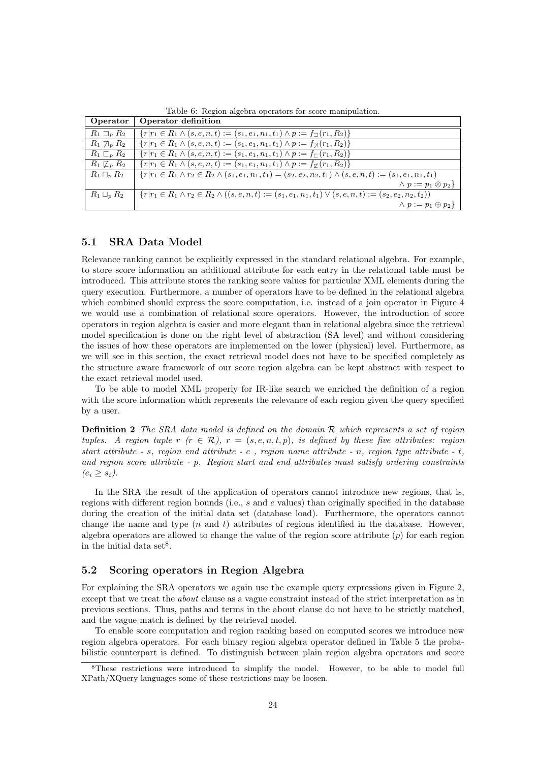| Operator                    | Operator definition                                                                                                              |
|-----------------------------|----------------------------------------------------------------------------------------------------------------------------------|
| $R_1 \sqsupset_n R_2$       | ${r r_1 \in R_1 \land (s, e, n, t) := (s_1, e_1, n_1, t_1) \land p := f_{\square}(r_1, R_2)}$                                    |
| $R_1 \not\sqsupset_R R_2$   | ${r r_1 \in R_1 \land (s, e, n, t) := (s_1, e_1, n_1, t_1) \land p := f_{\mathcal{D}}(r_1, R_2)}$                                |
| $R_1\sqsubset_{p} R_2$      | ${r r_1 \in R_1 \land (s, e, n, t) := (s_1, e_1, n_1, t_1) \land p := f_{\square}(r_1, R_2)}$                                    |
| $R_1 \not\sqsubset_{p} R_2$ | ${r r_1 \in R_1 \land (s, e, n, t) := (s_1, e_1, n_1, t_1) \land p := f_{\mathcal{L}}(r_1, R_2)}$                                |
| $R_1\sqcap_n R_2$           | ${r r_1 \in R_1 \land r_2 \in R_2 \land (s_1, e_1, n_1, t_1) = (s_2, e_2, n_2, t_1) \land (s, e, n, t) := (s_1, e_1, n_1, t_1)}$ |
|                             | $\wedge p := p_1 \otimes p_2$                                                                                                    |
| $R_1 \sqcup_p R_2$          | $\{r r_1 \in R_1 \land r_2 \in R_2 \land ((s, e, n, t) := (s_1, e_1, n_1, t_1) \lor (s, e, n, t) := (s_2, e_2, n_2, t_2))\}$     |
|                             | $\wedge p := p_1 \oplus p_2$                                                                                                     |

Table 6: Region algebra operators for score manipulation.

# 5.1 SRA Data Model

Relevance ranking cannot be explicitly expressed in the standard relational algebra. For example, to store score information an additional attribute for each entry in the relational table must be introduced. This attribute stores the ranking score values for particular XML elements during the query execution. Furthermore, a number of operators have to be defined in the relational algebra which combined should express the score computation, i.e. instead of a join operator in Figure 4 we would use a combination of relational score operators. However, the introduction of score operators in region algebra is easier and more elegant than in relational algebra since the retrieval model specification is done on the right level of abstraction (SA level) and without considering the issues of how these operators are implemented on the lower (physical) level. Furthermore, as we will see in this section, the exact retrieval model does not have to be specified completely as the structure aware framework of our score region algebra can be kept abstract with respect to the exact retrieval model used.

To be able to model XML properly for IR-like search we enriched the definition of a region with the score information which represents the relevance of each region given the query specified by a user.

**Definition 2** The SRA data model is defined on the domain  $\mathcal{R}$  which represents a set of region tuples. A region tuple r  $(r \in \mathcal{R})$ ,  $r = (s, e, n, t, p)$ , is defined by these five attributes: region start attribute  $- s$ , region end attribute  $- e$ , region name attribute  $- n$ , region type attribute  $- t$ , and region score attribute - p. Region start and end attributes must satisfy ordering constraints  $(e_i > s_i)$ .

In the SRA the result of the application of operators cannot introduce new regions, that is, regions with different region bounds (i.e., s and e values) than originally specified in the database during the creation of the initial data set (database load). Furthermore, the operators cannot change the name and type  $(n \text{ and } t)$  attributes of regions identified in the database. However, algebra operators are allowed to change the value of the region score attribute  $(p)$  for each region in the initial data set<sup>8</sup>.

## 5.2 Scoring operators in Region Algebra

For explaining the SRA operators we again use the example query expressions given in Figure 2, except that we treat the *about* clause as a vague constraint instead of the strict interpretation as in previous sections. Thus, paths and terms in the about clause do not have to be strictly matched, and the vague match is defined by the retrieval model.

To enable score computation and region ranking based on computed scores we introduce new region algebra operators. For each binary region algebra operator defined in Table 5 the probabilistic counterpart is defined. To distinguish between plain region algebra operators and score

<sup>8</sup>These restrictions were introduced to simplify the model. However, to be able to model full XPath/XQuery languages some of these restrictions may be loosen.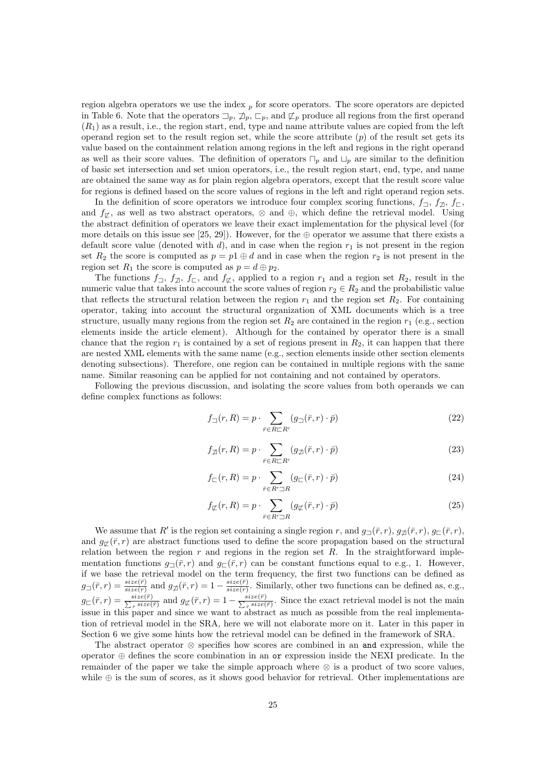region algebra operators we use the index  $_p$  for score operators. The score operators are depicted in Table 6. Note that the operators  $\Box_p$ ,  $\overline{\mathcal{A}}_p$ ,  $\overline{\mathcal{A}}_p$ , and  $\overline{\mathcal{L}}_p$  produce all regions from the first operand  $(R_1)$  as a result, i.e., the region start, end, type and name attribute values are copied from the left operand region set to the result region set, while the score attribute  $(p)$  of the result set gets its value based on the containment relation among regions in the left and regions in the right operand as well as their score values. The definition of operators  $\Box_p$  and  $\Box_p$  are similar to the definition of basic set intersection and set union operators, i.e., the result region start, end, type, and name are obtained the same way as for plain region algebra operators, except that the result score value for regions is defined based on the score values of regions in the left and right operand region sets.

In the definition of score operators we introduce four complex scoring functions,  $f_{\Box}$ ,  $f_{\Box}$ ,  $f_{\Box}$ , and  $f_{\sigma}$ , as well as two abstract operators,  $\otimes$  and  $\oplus$ , which define the retrieval model. Using the abstract definition of operators we leave their exact implementation for the physical level (for more details on this issue see [25, 29]). However, for the  $\oplus$  operator we assume that there exists a default score value (denoted with d), and in case when the region  $r_1$  is not present in the region set  $R_2$  the score is computed as  $p = p1 \oplus d$  and in case when the region  $r_2$  is not present in the region set  $R_1$  the score is computed as  $p = d \oplus p_2$ .

The functions  $f_{\square}$ ,  $f_{\square}$ ,  $f_{\square}$ , and  $f_{\square}$ , applied to a region  $r_1$  and a region set  $R_2$ , result in the numeric value that takes into account the score values of region  $r_2 \in R_2$  and the probabilistic value that reflects the structural relation between the region  $r_1$  and the region set  $R_2$ . For containing operator, taking into account the structural organization of XML documents which is a tree structure, usually many regions from the region set  $R_2$  are contained in the region  $r_1$  (e.g., section elements inside the article element). Although for the contained by operator there is a small chance that the region  $r_1$  is contained by a set of regions present in  $R_2$ , it can happen that there are nested XML elements with the same name (e.g., section elements inside other section elements denoting subsections). Therefore, one region can be contained in multiple regions with the same name. Similar reasoning can be applied for not containing and not contained by operators.

Following the previous discussion, and isolating the score values from both operands we can define complex functions as follows:

$$
f_{\square}(r,R) = p \cdot \sum_{\bar{r} \in R \sqsubset R'} (g_{\square}(\bar{r},r) \cdot \bar{p})
$$
\n(22)

$$
f_{\mathcal{D}}(r,R) = p \cdot \sum_{\bar{r} \in R \sqsubset R'} (g_{\mathcal{D}}(\bar{r},r) \cdot \bar{p})
$$
\n(23)

$$
f_{\sqsubset}(r,R) = p \cdot \sum_{\bar{r} \in R' \sqsupset R} (g_{\sqsubset}(\bar{r},r) \cdot \bar{p}) \tag{24}
$$

$$
f_{\mathcal{I}}(r,R) = p \cdot \sum_{\bar{r} \in R' \supseteq R} (g_{\mathcal{I}}(\bar{r},r) \cdot \bar{p})
$$
\n(25)

We assume that R' is the region set containing a single region r, and  $g_{\Box}(\bar{r}, r)$ ,  $g_{\Box}(\bar{r}, r)$ ,  $g_{\Box}(\bar{r}, r)$ , and  $g_{\sigma}(\bar{r},r)$  are abstract functions used to define the score propagation based on the structural relation between the region  $r$  and regions in the region set  $R$ . In the straightforward implementation functions  $g_{\Box}(\bar{r}, r)$  and  $g_{\Box}(\bar{r}, r)$  can be constant functions equal to e.g., 1. However, if we base the retrieval model on the term frequency, the first two functions can be defined as  $g_{\square}(\bar{r},r) = \frac{size(\bar{r})}{size(r)}$  and  $g_{\square}(\bar{r},r) = 1 - \frac{size(\bar{r})}{size(r)}$  $\frac{size(r)}{size(r)}$ . Similarly, other two functions can be defined as, e.g.,  $g_{\square}(\bar{r},r) = \frac{size(\bar{r})}{\sum_{\bar{r}} size(\bar{r})}$  $\frac{size(\bar{r})}{\bar{r} \, size(\bar{r})}$  and  $g_{\not\sqsubset}(\bar{r},r) = 1 - \frac{size(\bar{r})}{\sum_{\bar{r}} size(\bar{r})}$  $\frac{size(r)}{r}$  Since the exact retrieval model is not the main issue in this paper and since we want to abstract as much as possible from the real implementation of retrieval model in the SRA, here we will not elaborate more on it. Later in this paper in Section 6 we give some hints how the retrieval model can be defined in the framework of SRA.

The abstract operator ⊗ specifies how scores are combined in an and expression, while the operator ⊕ defines the score combination in an or expression inside the NEXI predicate. In the remainder of the paper we take the simple approach where ⊗ is a product of two score values, while ⊕ is the sum of scores, as it shows good behavior for retrieval. Other implementations are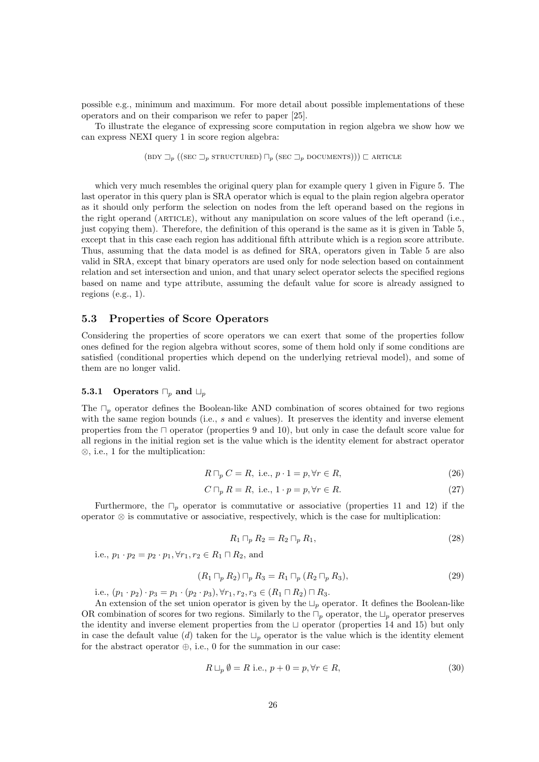possible e.g., minimum and maximum. For more detail about possible implementations of these operators and on their comparison we refer to paper [25].

To illustrate the elegance of expressing score computation in region algebra we show how we can express NEXI query 1 in score region algebra:

(BDY 
$$
\Box_p
$$
 ((SEC  $\Box_p$  STRUCTURED)  $\Box_p$  (SEC  $\Box_p$  DOCUMENTS)))  $\Box$  ARTICLE

which very much resembles the original query plan for example query 1 given in Figure 5. The last operator in this query plan is SRA operator which is equal to the plain region algebra operator as it should only perform the selection on nodes from the left operand based on the regions in the right operand (article), without any manipulation on score values of the left operand (i.e., just copying them). Therefore, the definition of this operand is the same as it is given in Table 5, except that in this case each region has additional fifth attribute which is a region score attribute. Thus, assuming that the data model is as defined for SRA, operators given in Table 5 are also valid in SRA, except that binary operators are used only for node selection based on containment relation and set intersection and union, and that unary select operator selects the specified regions based on name and type attribute, assuming the default value for score is already assigned to regions  $(e.g., 1)$ .

#### 5.3 Properties of Score Operators

Considering the properties of score operators we can exert that some of the properties follow ones defined for the region algebra without scores, some of them hold only if some conditions are satisfied (conditional properties which depend on the underlying retrieval model), and some of them are no longer valid.

#### **5.3.1** Operators  $\Box_p$  and  $\Box_p$

The  $\Box_p$  operator defines the Boolean-like AND combination of scores obtained for two regions with the same region bounds (i.e.,  $s$  and  $e$  values). It preserves the identity and inverse element properties from the  $\Box$  operator (properties 9 and 10), but only in case the default score value for all regions in the initial region set is the value which is the identity element for abstract operator ⊗, i.e., 1 for the multiplication:

$$
R \sqcap_p C = R, \text{ i.e., } p \cdot 1 = p, \forall r \in R,
$$
\n
$$
(26)
$$

$$
C \sqcap_p R = R, \text{ i.e., } 1 \cdot p = p, \forall r \in R. \tag{27}
$$

Furthermore, the  $\Box_p$  operator is commutative or associative (properties 11 and 12) if the operator ⊗ is commutative or associative, respectively, which is the case for multiplication:

$$
R_1 \sqcap_p R_2 = R_2 \sqcap_p R_1,\tag{28}
$$

i.e.,  $p_1 \cdot p_2 = p_2 \cdot p_1, \forall r_1, r_2 \in R_1 \sqcap R_2$ , and

$$
(R_1 \sqcap_p R_2) \sqcap_p R_3 = R_1 \sqcap_p (R_2 \sqcap_p R_3), \tag{29}
$$

i.e.,  $(p_1 \cdot p_2) \cdot p_3 = p_1 \cdot (p_2 \cdot p_3), \forall r_1, r_2, r_3 \in (R_1 \sqcap R_2) \sqcap R_3.$ 

An extension of the set union operator is given by the  $L_p$  operator. It defines the Boolean-like OR combination of scores for two regions. Similarly to the  $\Box_p$  operator, the  $\Box_p$  operator preserves the identity and inverse element properties from the  $\sqcup$  operator (properties 14 and 15) but only in case the default value (d) taken for the  $L_p$  operator is the value which is the identity element for the abstract operator  $\oplus$ , i.e., 0 for the summation in our case:

$$
R \sqcup_p \emptyset = R \text{ i.e., } p + 0 = p, \forall r \in R,
$$
\n
$$
(30)
$$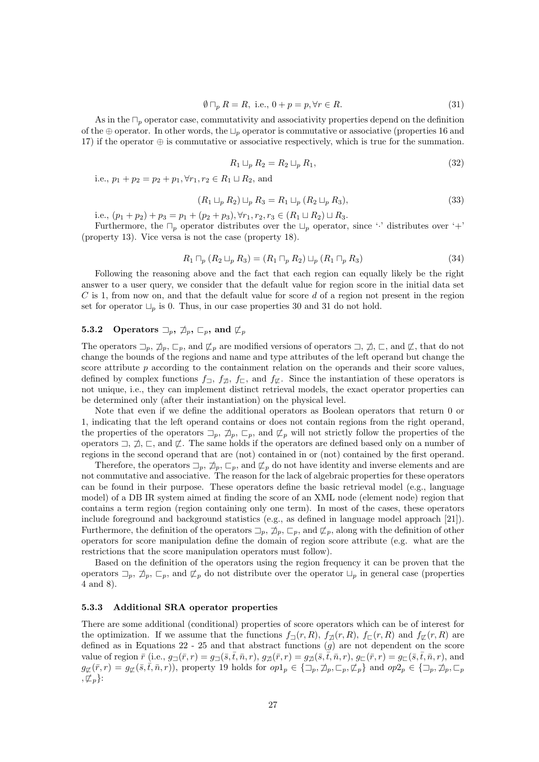$$
\emptyset \sqcap_p R = R, \text{ i.e., } 0 + p = p, \forall r \in R. \tag{31}
$$

As in the  $\Box_p$  operator case, commutativity and associativity properties depend on the definition of the  $\oplus$  operator. In other words, the  $\sqcup_p$  operator is commutative or associative (properties 16 and 17) if the operator ⊕ is commutative or associative respectively, which is true for the summation.

$$
R_1 \sqcup_p R_2 = R_2 \sqcup_p R_1,\tag{32}
$$

i.e.,  $p_1 + p_2 = p_2 + p_1, \forall r_1, r_2 \in R_1 \sqcup R_2$ , and

$$
(R_1 \sqcup_p R_2) \sqcup_p R_3 = R_1 \sqcup_p (R_2 \sqcup_p R_3), \tag{33}
$$

i.e.,  $(p_1 + p_2) + p_3 = p_1 + (p_2 + p_3), \forall r_1, r_2, r_3 \in (R_1 \sqcup R_2) \sqcup R_3.$ 

Furthermore, the  $\Box_p$  operator distributes over the  $\Box_p$  operator, since '·' distributes over '+' (property 13). Vice versa is not the case (property 18).

$$
R_1 \sqcap_p (R_2 \sqcup_p R_3) = (R_1 \sqcap_p R_2) \sqcup_p (R_1 \sqcap_p R_3)
$$
\n(34)

Following the reasoning above and the fact that each region can equally likely be the right answer to a user query, we consider that the default value for region score in the initial data set  $C$  is 1, from now on, and that the default value for score  $d$  of a region not present in the region set for operator  $\Box_p$  is 0. Thus, in our case properties 30 and 31 do not hold.

# **5.3.2** Operators  $\Box_p$ ,  $\Box_p$ ,  $\Box_p$ , and  $\Box_p$

The operators  $\Box_p$ ,  $\Box_p$ ,  $\Box_p$ , and  $\not\sqsubset_p$  are modified versions of operators  $\Box$ ,  $\not\Box$ ,  $\Box$ , and  $\not\subset$ , that do not change the bounds of the regions and name and type attributes of the left operand but change the score attribute  $p$  according to the containment relation on the operands and their score values, defined by complex functions  $f_{\Box}$ ,  $f_{\Box}$ ,  $f_{\Box}$ , and  $f_{\Box}$ . Since the instantiation of these operators is not unique, i.e., they can implement distinct retrieval models, the exact operator properties can be determined only (after their instantiation) on the physical level.

Note that even if we define the additional operators as Boolean operators that return 0 or 1, indicating that the left operand contains or does not contain regions from the right operand, the properties of the operators  $\Box_p$ ,  $\Box_p$ ,  $\Box_p$ , and  $\not\sqsubset_p$  will not strictly follow the properties of the operators  $\exists$ ,  $\sharp$ ,  $\sqsubset$ , and  $\sharp$ . The same holds if the operators are defined based only on a number of regions in the second operand that are (not) contained in or (not) contained by the first operand.

Therefore, the operators  $\Box_p$ ,  $\Box_p$ ,  $\Box_p$ , and  $\not\sqsubset_p$  do not have identity and inverse elements and are not commutative and associative. The reason for the lack of algebraic properties for these operators can be found in their purpose. These operators define the basic retrieval model (e.g., language model) of a DB IR system aimed at finding the score of an XML node (element node) region that contains a term region (region containing only one term). In most of the cases, these operators include foreground and background statistics (e.g., as defined in language model approach [21]). Furthermore, the definition of the operators  $\Box_p$ ,  $\Box_p$ ,  $\Box_p$ , and  $\not\sqsubset_p$ , along with the definition of other operators for score manipulation define the domain of region score attribute (e.g. what are the restrictions that the score manipulation operators must follow).

Based on the definition of the operators using the region frequency it can be proven that the operators  $\Box_p$ ,  $\Box_p$ ,  $\Box_p$ , and  $\not\sqsubset_p$  do not distribute over the operator  $\Box_p$  in general case (properties 4 and 8).

#### 5.3.3 Additional SRA operator properties

There are some additional (conditional) properties of score operators which can be of interest for the optimization. If we assume that the functions  $f_{\Box}(r, R)$ ,  $f_{\Box}(r, R)$ ,  $f_{\Box}(r, R)$  and  $f_{\Box}(r, R)$  are defined as in Equations  $22 - 25$  and that abstract functions  $(g)$  are not dependent on the score value of region  $\bar{r}$  (i.e.,  $g_{\Box}(\bar{r},r) = g_{\Box}(\bar{s},\bar{t},\bar{n},r),$   $g_{\Box}(\bar{r},r) = g_{\Box}(\bar{s},\bar{t},\bar{n},r),$   $g_{\Box}(\bar{r},r) = g_{\Box}(\bar{s},\bar{t},\bar{n},r),$  and  $g_{\not\sqsubset}(\bar{r}, r) = g_{\not\sqsubset}(\bar{s}, \bar{t}, \bar{n}, r)$ , property 19 holds for  $op1_p \in \{\Box_p, \not\sqsupset_p, \Box_p, \not\sqsubset_p\}$  and  $op2_p \in \{\Box_p, \not\sqsupset_p, \Box_p\}$  $, \not\sqsubset_{p}$ :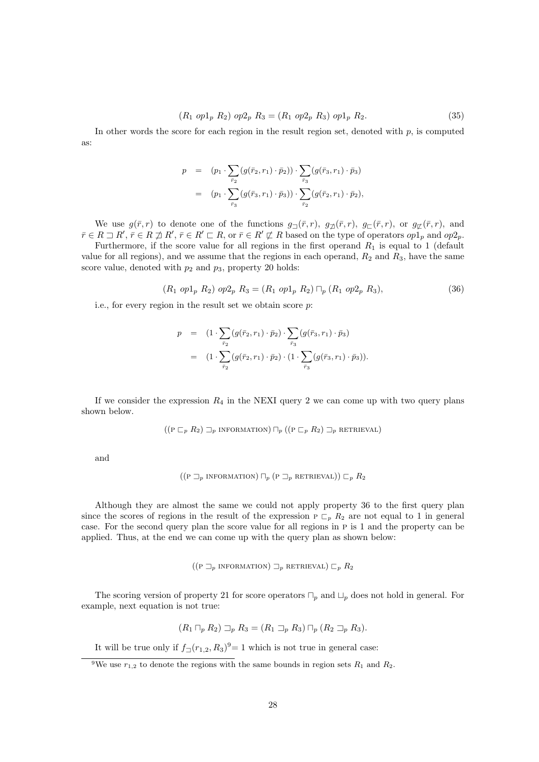$$
(R_1 \text{ op1}_p R_2) \text{ op2}_p R_3 = (R_1 \text{ op2}_p R_3) \text{ op1}_p R_2. \tag{35}
$$

In other words the score for each region in the result region set, denoted with  $p$ , is computed as:

$$
p = (p_1 \cdot \sum_{\bar{r}_2} (g(\bar{r}_2, r_1) \cdot \bar{p}_2)) \cdot \sum_{\bar{r}_3} (g(\bar{r}_3, r_1) \cdot \bar{p}_3)
$$
  
= 
$$
(p_1 \cdot \sum_{\bar{r}_3} (g(\bar{r}_3, r_1) \cdot \bar{p}_3)) \cdot \sum_{\bar{r}_2} (g(\bar{r}_2, r_1) \cdot \bar{p}_2),
$$

We use  $g(\bar{r},r)$  to denote one of the functions  $g_{\Box}(\bar{r},r)$ ,  $g_{\Box}(\bar{r},r)$ ,  $g_{\Box}(\bar{r},r)$ , or  $g_{\Box}(\bar{r},r)$ , and  $\bar{r} \in R \sqsupset R', \bar{r} \in R \nsupseteq R', \bar{r} \in R' \sqsubset R$ , or  $\bar{r} \in R' \not\sqsubset R$  based on the type of operators  $op1_p$  and  $op2_p$ .

Furthermore, if the score value for all regions in the first operand  $R_1$  is equal to 1 (default value for all regions), and we assume that the regions in each operand,  $R_2$  and  $R_3$ , have the same score value, denoted with  $p_2$  and  $p_3$ , property 20 holds:

$$
(R_1 \text{ op1}_p R_2) \text{ op2}_p R_3 = (R_1 \text{ op1}_p R_2) \sqcap_p (R_1 \text{ op2}_p R_3), \tag{36}
$$

i.e., for every region in the result set we obtain score p:

$$
p = (1 \cdot \sum_{\bar{r}_2} (g(\bar{r}_2, r_1) \cdot \bar{p}_2) \cdot \sum_{\bar{r}_3} (g(\bar{r}_3, r_1) \cdot \bar{p}_3)
$$
  
= 
$$
(1 \cdot \sum_{\bar{r}_2} (g(\bar{r}_2, r_1) \cdot \bar{p}_2) \cdot (1 \cdot \sum_{\bar{r}_3} (g(\bar{r}_3, r_1) \cdot \bar{p}_3)).
$$

If we consider the expression  $R_4$  in the NEXI query 2 we can come up with two query plans shown below.

$$
((P \sqsubset_{p} R_{2}) \sqsupset_{p} \text{INFORMATION}) \sqcap_{p} ((P \sqsubset_{p} R_{2}) \sqsupset_{p} \text{RETRIEVAL})
$$

and

$$
((P \sqsupset_{p} \text{ INFORMATION}) \sqcap_{p} (P \sqsupset_{p} \text{RETRUEVAL})) \sqsubset_{p} R_2
$$

Although they are almost the same we could not apply property 36 to the first query plan since the scores of regions in the result of the expression  $P \nightharpoonup_{p} R_2$  are not equal to 1 in general case. For the second query plan the score value for all regions in p is 1 and the property can be applied. Thus, at the end we can come up with the query plan as shown below:

$$
((P \sqsupset_{p} \text{INFORMATION}) \sqsupset_{p} \text{RETRIEVAL}) \sqsubset_{p} R_2
$$

The scoring version of property 21 for score operators  $\Box_p$  and  $\Box_p$  does not hold in general. For example, next equation is not true:

$$
(R_1 \sqcap_p R_2) \sqsupset_p R_3 = (R_1 \sqsupset_p R_3) \sqcap_p (R_2 \sqsupset_p R_3).
$$

It will be true only if  $f_{\Box}(r_{1,2}, R_3)^9 = 1$  which is not true in general case:

<sup>&</sup>lt;sup>9</sup>We use  $r_{1,2}$  to denote the regions with the same bounds in region sets  $R_1$  and  $R_2$ .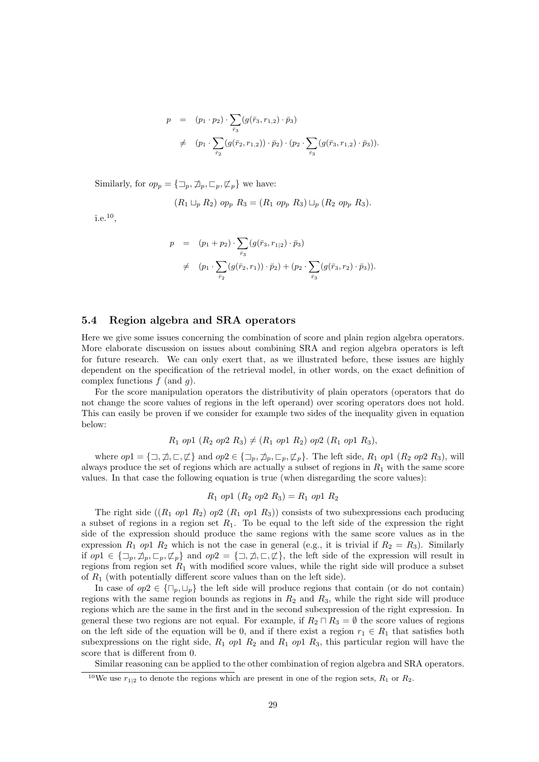$$
p = (p_1 \cdot p_2) \cdot \sum_{\bar{r}_3} (g(\bar{r}_3, r_{1,2}) \cdot \bar{p}_3)
$$
  

$$
\neq (p_1 \cdot \sum_{\bar{r}_2} (g(\bar{r}_2, r_{1,2})) \cdot \bar{p}_2) \cdot (p_2 \cdot \sum_{\bar{r}_3} (g(\bar{r}_3, r_{1,2}) \cdot \bar{p}_3)).
$$

Similarly, for  $op_p = {\mathbb{Z}_p, \mathbb{Z}_p, \mathbb{Z}_p, \mathbb{Z}_p}$  we have:

$$
(R_1 \sqcup_p R_2) op_p R_3 = (R_1 op_p R_3) \sqcup_p (R_2 op_p R_3).
$$

i.e.<sup>10</sup> ,

$$
p = (p_1 + p_2) \cdot \sum_{\bar{r}_3} (g(\bar{r}_3, r_{1|2}) \cdot \bar{p}_3)
$$
  

$$
\neq (p_1 \cdot \sum_{\bar{r}_2} (g(\bar{r}_2, r_1)) \cdot \bar{p}_2) + (p_2 \cdot \sum_{\bar{r}_3} (g(\bar{r}_3, r_2) \cdot \bar{p}_3)).
$$

## 5.4 Region algebra and SRA operators

Here we give some issues concerning the combination of score and plain region algebra operators. More elaborate discussion on issues about combining SRA and region algebra operators is left for future research. We can only exert that, as we illustrated before, these issues are highly dependent on the specification of the retrieval model, in other words, on the exact definition of complex functions  $f$  (and  $g$ ).

For the score manipulation operators the distributivity of plain operators (operators that do not change the score values of regions in the left operand) over scoring operators does not hold. This can easily be proven if we consider for example two sides of the inequality given in equation below:

$$
R_1
$$
 op1  $(R_2$  op2  $R_3$ )  $\neq$   $(R_1$  op1  $R_2$ ) op2  $(R_1$  op1  $R_3$ ),

where  $op1 = {\sqsupset}, \nexists, \sqsubset, \not\sqsubset$  and  $op2 \in {\sqsupset}$ ,  $\mathcal{D}_p$ ,  $\sqsubset_p$ ,  $\mathcal{L}_p$ . The left side,  $R_1$  op1  $(R_2$  op2  $R_3)$ , will always produce the set of regions which are actually a subset of regions in  $R_1$  with the same score values. In that case the following equation is true (when disregarding the score values):

$$
R_1 \text{ op1 } (R_2 \text{ op2 } R_3) = R_1 \text{ op1 } R_2
$$

The right side  $((R_1 \noplus R_2) \noplus (R_1 \noplus R_3))$  consists of two subexpressions each producing a subset of regions in a region set  $R_1$ . To be equal to the left side of the expression the right side of the expression should produce the same regions with the same score values as in the expression  $R_1$  op1  $R_2$  which is not the case in general (e.g., it is trivial if  $R_2 = R_3$ ). Similarly if  $op1 \in \{\Box_p, \not\sqsupset_p, \Box_p, \not\sqsubset_p\}$  and  $op2 = {\Box, \not\sqsupset, \Box, \not\sqsubset}$ , the left side of the expression will result in regions from region set  $R_1$  with modified score values, while the right side will produce a subset of  $R_1$  (with potentially different score values than on the left side).

In case of  $op2 \in {\big\{\square_p,\square_p\big\}}$  the left side will produce regions that contain (or do not contain) regions with the same region bounds as regions in  $R_2$  and  $R_3$ , while the right side will produce regions which are the same in the first and in the second subexpression of the right expression. In general these two regions are not equal. For example, if  $R_2 \square R_3 = \emptyset$  the score values of regions on the left side of the equation will be 0, and if there exist a region  $r_1 \in R_1$  that satisfies both subexpressions on the right side,  $R_1$  op1  $R_2$  and  $R_1$  op1  $R_3$ , this particular region will have the score that is different from 0.

Similar reasoning can be applied to the other combination of region algebra and SRA operators.

<sup>&</sup>lt;sup>10</sup>We use  $r_{1|2}$  to denote the regions which are present in one of the region sets,  $R_1$  or  $R_2$ .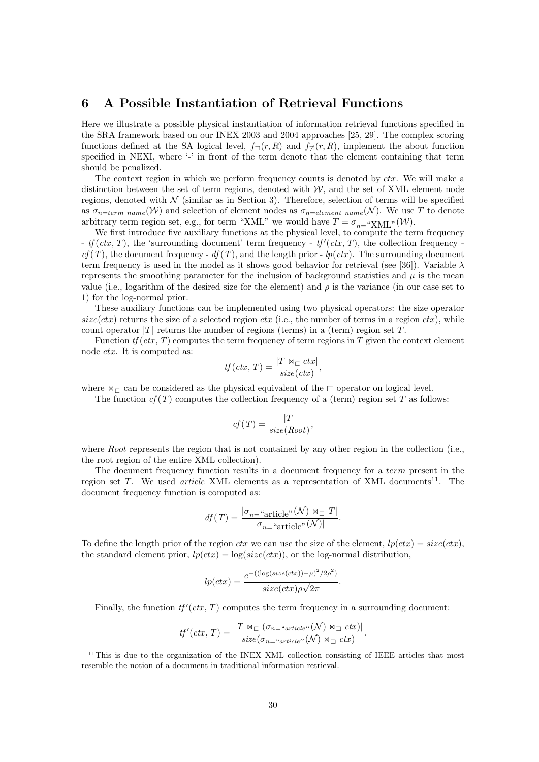# 6 A Possible Instantiation of Retrieval Functions

Here we illustrate a possible physical instantiation of information retrieval functions specified in the SRA framework based on our INEX 2003 and 2004 approaches [25, 29]. The complex scoring functions defined at the SA logical level,  $f_{\Box}(r, R)$  and  $f_{\Box}(r, R)$ , implement the about function specified in NEXI, where '-' in front of the term denote that the element containing that term should be penalized.

The context region in which we perform frequency counts is denoted by  $ctx$ . We will make a distinction between the set of term regions, denoted with  $W$ , and the set of XML element node regions, denoted with  $N$  (similar as in Section 3). Therefore, selection of terms will be specified as  $\sigma_{n=term\_name}(\mathcal{W})$  and selection of element nodes as  $\sigma_{n=element\_name}(\mathcal{N})$ . We use T to denote arbitrary term region set, e.g., for term "XML" we would have  $T = \sigma_{n=}^{\infty}$  "XML"(W).

We first introduce five auxiliary functions at the physical level, to compute the term frequency -  $tf (ctx, T)$ , the 'surrounding document' term frequency -  $tf'(ctx, T)$ , the collection frequency  $cf(T)$ , the document frequency -  $df(T)$ , and the length prior -  $lp(ctx)$ . The surrounding document term frequency is used in the model as it shows good behavior for retrieval (see [36]). Variable  $\lambda$ represents the smoothing parameter for the inclusion of background statistics and  $\mu$  is the mean value (i.e., logarithm of the desired size for the element) and  $\rho$  is the variance (in our case set to 1) for the log-normal prior.

These auxiliary functions can be implemented using two physical operators: the size operator  $size(ctx)$  returns the size of a selected region  $ctx$  (i.e., the number of terms in a region  $ctx)$ , while count operator  $|T|$  returns the number of regions (terms) in a (term) region set T.

Function  $tf (ctx, T)$  computes the term frequency of term regions in T given the context element node ctx. It is computed as:

$$
tf(ctx, T) = \frac{|T \Join_{\sqsubset} ctx|}{size(ctx)},
$$

where  $\bowtie_{\sqsubset}$  can be considered as the physical equivalent of the  $\sqsubset$  operator on logical level.

The function  $cf(T)$  computes the collection frequency of a (term) region set T as follows:

$$
cf(T) = \frac{|T|}{size(Root)},
$$

where Root represents the region that is not contained by any other region in the collection (i.e., the root region of the entire XML collection).

The document frequency function results in a document frequency for a term present in the region set  $T$ . We used *article* XML elements as a representation of XML documents<sup>11</sup>. The document frequency function is computed as:

$$
df(T) = \frac{|\sigma_{n=}\text{``article''}}{|\sigma_{n=}\text{``article''}}( \mathcal{N}) \bowtie_{\square} T|.
$$

To define the length prior of the region ctx we can use the size of the element,  $lp(ctx) = size(ctx)$ . the standard element prior,  $lp(ctx) = log(size(ctx))$ , or the log-normal distribution,

$$
lp(ctx) = \frac{e^{-((\log(size(ctx)) - \mu)^2/2\rho^2)}}{size(ctx)\rho\sqrt{2\pi}}.
$$

Finally, the function  $tf'(ctx, T)$  computes the term frequency in a surrounding document:

$$
tf'(ctx, T) = \frac{|T \Join_{\sqsubset} (\sigma_{n = "article''}(N) \Join_{\sqsupset} ctx)|}{size(\sigma_{n = "article''}(N) \Join_{\sqsupset} ctx)}.
$$

<sup>&</sup>lt;sup>11</sup>This is due to the organization of the INEX XML collection consisting of IEEE articles that most resemble the notion of a document in traditional information retrieval.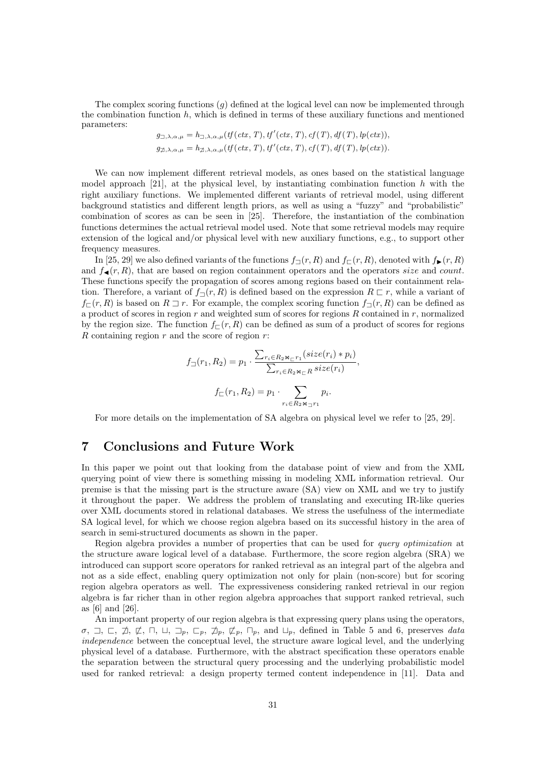The complex scoring functions  $(g)$  defined at the logical level can now be implemented through the combination function  $h$ , which is defined in terms of these auxiliary functions and mentioned parameters:

$$
g_{\square,\lambda,\alpha,\mu} = h_{\square,\lambda,\alpha,\mu}(tf(\mathit{ctx}, T), tf'(\mathit{ctx}, T), cf(T), df(T), lp(\mathit{ctx})),
$$
  

$$
g_{\square,\lambda,\alpha,\mu} = h_{\square,\lambda,\alpha,\mu}(tf(\mathit{ctx}, T), tf'(\mathit{ctx}, T), cf(T), df(T), lp(\mathit{ctx})).
$$

We can now implement different retrieval models, as ones based on the statistical language model approach [21], at the physical level, by instantiating combination function h with the right auxiliary functions. We implemented different variants of retrieval model, using different background statistics and different length priors, as well as using a "fuzzy" and "probabilistic" combination of scores as can be seen in [25]. Therefore, the instantiation of the combination functions determines the actual retrieval model used. Note that some retrieval models may require extension of the logical and/or physical level with new auxiliary functions, e.g., to support other frequency measures.

In [25, 29] we also defined variants of the functions  $f_{\Box}(r, R)$  and  $f_{\Box}(r, R)$ , denoted with  $f_{\blacktriangleright}(r, R)$ and  $f_{\blacktriangleleft}(r, R)$ , that are based on region containment operators and the operators size and count. These functions specify the propagation of scores among regions based on their containment relation. Therefore, a variant of  $f_{\neg}(r, R)$  is defined based on the expression  $R \sqsubset r$ , while a variant of  $f_{\square}(r, R)$  is based on  $R \square r$ . For example, the complex scoring function  $f_{\square}(r, R)$  can be defined as a product of scores in region  $r$  and weighted sum of scores for regions  $R$  contained in  $r$ , normalized by the region size. The function  $f_{\square}(r, R)$  can be defined as sum of a product of scores for regions  $R$  containing region  $r$  and the score of region  $r$ :

$$
f_{\square}(r_1, R_2) = p_1 \cdot \frac{\sum_{r_i \in R_2 \bowtie_{\square} r_1} (size(r_i) * p_i)}{\sum_{r_i \in R_2 \bowtie_{\square} R} size(r_i)},
$$

$$
f_{\square}(r_1, R_2) = p_1 \cdot \sum_{r_i \in R_2 \bowtie_{\square} r_1} p_i.
$$

For more details on the implementation of SA algebra on physical level we refer to [25, 29].

# 7 Conclusions and Future Work

In this paper we point out that looking from the database point of view and from the XML querying point of view there is something missing in modeling XML information retrieval. Our premise is that the missing part is the structure aware (SA) view on XML and we try to justify it throughout the paper. We address the problem of translating and executing IR-like queries over XML documents stored in relational databases. We stress the usefulness of the intermediate SA logical level, for which we choose region algebra based on its successful history in the area of search in semi-structured documents as shown in the paper.

Region algebra provides a number of properties that can be used for query optimization at the structure aware logical level of a database. Furthermore, the score region algebra (SRA) we introduced can support score operators for ranked retrieval as an integral part of the algebra and not as a side effect, enabling query optimization not only for plain (non-score) but for scoring region algebra operators as well. The expressiveness considering ranked retrieval in our region algebra is far richer than in other region algebra approaches that support ranked retrieval, such as [6] and [26].

An important property of our region algebra is that expressing query plans using the operators,  $\sigma$ ,  $\Box$ ,  $\Box$ ,  $\Box$ ,  $\Box$ ,  $\Box$ ,  $\Box$ ,  $\Box$ ,  $\Box$ ,  $\Box$ ,  $\Box$ ,  $\Box$ , defined in Table 5 and 6, preserves data independence between the conceptual level, the structure aware logical level, and the underlying physical level of a database. Furthermore, with the abstract specification these operators enable the separation between the structural query processing and the underlying probabilistic model used for ranked retrieval: a design property termed content independence in [11]. Data and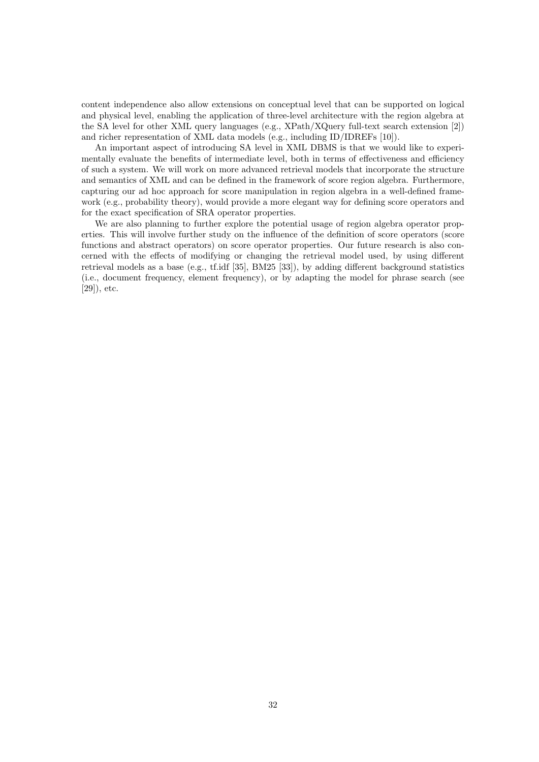content independence also allow extensions on conceptual level that can be supported on logical and physical level, enabling the application of three-level architecture with the region algebra at the SA level for other XML query languages (e.g., XPath/XQuery full-text search extension [2]) and richer representation of XML data models (e.g., including ID/IDREFs [10]).

An important aspect of introducing SA level in XML DBMS is that we would like to experimentally evaluate the benefits of intermediate level, both in terms of effectiveness and efficiency of such a system. We will work on more advanced retrieval models that incorporate the structure and semantics of XML and can be defined in the framework of score region algebra. Furthermore, capturing our ad hoc approach for score manipulation in region algebra in a well-defined framework (e.g., probability theory), would provide a more elegant way for defining score operators and for the exact specification of SRA operator properties.

We are also planning to further explore the potential usage of region algebra operator properties. This will involve further study on the influence of the definition of score operators (score functions and abstract operators) on score operator properties. Our future research is also concerned with the effects of modifying or changing the retrieval model used, by using different retrieval models as a base (e.g., tf.idf [35], BM25 [33]), by adding different background statistics (i.e., document frequency, element frequency), or by adapting the model for phrase search (see [29]), etc.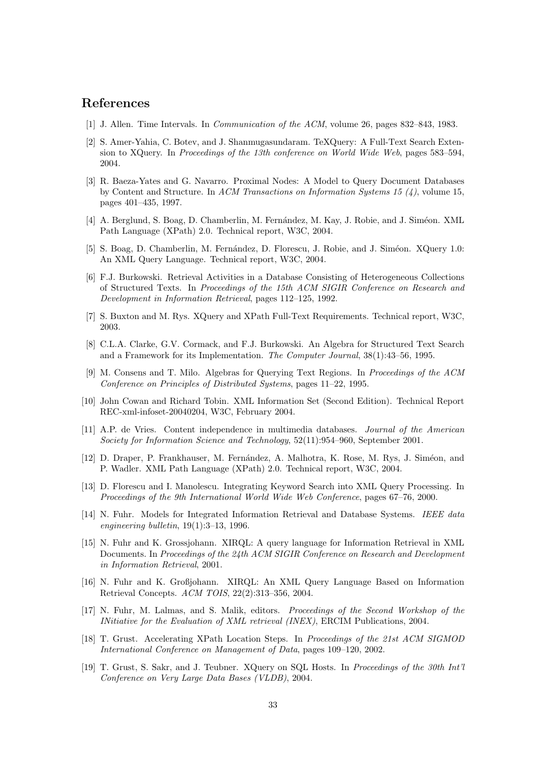# References

- [1] J. Allen. Time Intervals. In Communication of the ACM, volume 26, pages 832–843, 1983.
- [2] S. Amer-Yahia, C. Botev, and J. Shanmugasundaram. TeXQuery: A Full-Text Search Extension to XQuery. In Proceedings of the 13th conference on World Wide Web, pages 583–594, 2004.
- [3] R. Baeza-Yates and G. Navarro. Proximal Nodes: A Model to Query Document Databases by Content and Structure. In ACM Transactions on Information Systems 15  $(4)$ , volume 15, pages 401–435, 1997.
- [4] A. Berglund, S. Boag, D. Chamberlin, M. Fernández, M. Kay, J. Robie, and J. Siméon. XML Path Language (XPath) 2.0. Technical report, W3C, 2004.
- [5] S. Boag, D. Chamberlin, M. Fernández, D. Florescu, J. Robie, and J. Siméon. XQuery 1.0: An XML Query Language. Technical report, W3C, 2004.
- [6] F.J. Burkowski. Retrieval Activities in a Database Consisting of Heterogeneous Collections of Structured Texts. In Proceedings of the 15th ACM SIGIR Conference on Research and Development in Information Retrieval, pages 112–125, 1992.
- [7] S. Buxton and M. Rys. XQuery and XPath Full-Text Requirements. Technical report, W3C, 2003.
- [8] C.L.A. Clarke, G.V. Cormack, and F.J. Burkowski. An Algebra for Structured Text Search and a Framework for its Implementation. The Computer Journal, 38(1):43–56, 1995.
- [9] M. Consens and T. Milo. Algebras for Querying Text Regions. In Proceedings of the ACM Conference on Principles of Distributed Systems, pages 11–22, 1995.
- [10] John Cowan and Richard Tobin. XML Information Set (Second Edition). Technical Report REC-xml-infoset-20040204, W3C, February 2004.
- [11] A.P. de Vries. Content independence in multimedia databases. Journal of the American Society for Information Science and Technology, 52(11):954–960, September 2001.
- [12] D. Draper, P. Frankhauser, M. Fernández, A. Malhotra, K. Rose, M. Rys, J. Siméon, and P. Wadler. XML Path Language (XPath) 2.0. Technical report, W3C, 2004.
- [13] D. Florescu and I. Manolescu. Integrating Keyword Search into XML Query Processing. In Proceedings of the 9th International World Wide Web Conference, pages 67–76, 2000.
- [14] N. Fuhr. Models for Integrated Information Retrieval and Database Systems. IEEE data engineering bulletin, 19(1):3–13, 1996.
- [15] N. Fuhr and K. Grossjohann. XIRQL: A query language for Information Retrieval in XML Documents. In Proceedings of the 24th ACM SIGIR Conference on Research and Development in Information Retrieval, 2001.
- [16] N. Fuhr and K. Großjohann. XIRQL: An XML Query Language Based on Information Retrieval Concepts. ACM TOIS, 22(2):313–356, 2004.
- [17] N. Fuhr, M. Lalmas, and S. Malik, editors. Proceedings of the Second Workshop of the INitiative for the Evaluation of XML retrieval (INEX), ERCIM Publications, 2004.
- [18] T. Grust. Accelerating XPath Location Steps. In Proceedings of the 21st ACM SIGMOD International Conference on Management of Data, pages 109–120, 2002.
- [19] T. Grust, S. Sakr, and J. Teubner. XQuery on SQL Hosts. In Proceedings of the 30th Int'l Conference on Very Large Data Bases (VLDB), 2004.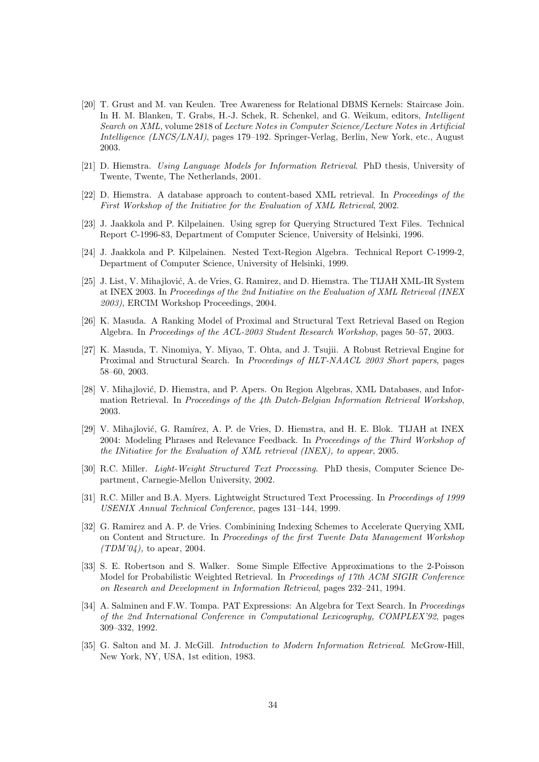- [20] T. Grust and M. van Keulen. Tree Awareness for Relational DBMS Kernels: Staircase Join. In H. M. Blanken, T. Grabs, H.-J. Schek, R. Schenkel, and G. Weikum, editors, Intelligent Search on XML, volume 2818 of Lecture Notes in Computer Science/Lecture Notes in Artificial Intelligence (LNCS/LNAI), pages 179–192. Springer-Verlag, Berlin, New York, etc., August 2003.
- [21] D. Hiemstra. Using Language Models for Information Retrieval. PhD thesis, University of Twente, Twente, The Netherlands, 2001.
- [22] D. Hiemstra. A database approach to content-based XML retrieval. In Proceedings of the First Workshop of the Initiative for the Evaluation of XML Retrieval, 2002.
- [23] J. Jaakkola and P. Kilpelainen. Using sgrep for Querying Structured Text Files. Technical Report C-1996-83, Department of Computer Science, University of Helsinki, 1996.
- [24] J. Jaakkola and P. Kilpelainen. Nested Text-Region Algebra. Technical Report C-1999-2, Department of Computer Science, University of Helsinki, 1999.
- [25] J. List, V. Mihajlović, A. de Vries, G. Ramirez, and D. Hiemstra. The TIJAH XML-IR System at INEX 2003. In Proceedings of the 2nd Initiative on the Evaluation of XML Retrieval (INEX 2003), ERCIM Workshop Proceedings, 2004.
- [26] K. Masuda. A Ranking Model of Proximal and Structural Text Retrieval Based on Region Algebra. In Proceedings of the ACL-2003 Student Research Workshop, pages 50–57, 2003.
- [27] K. Masuda, T. Ninomiya, Y. Miyao, T. Ohta, and J. Tsujii. A Robust Retrieval Engine for Proximal and Structural Search. In Proceedings of HLT-NAACL 2003 Short papers, pages 58–60, 2003.
- [28] V. Mihajlović, D. Hiemstra, and P. Apers. On Region Algebras, XML Databases, and Information Retrieval. In Proceedings of the 4th Dutch-Belgian Information Retrieval Workshop, 2003.
- [29] V. Mihajlović, G. Ramírez, A. P. de Vries, D. Hiemstra, and H. E. Blok. TIJAH at INEX 2004: Modeling Phrases and Relevance Feedback. In Proceedings of the Third Workshop of the INitiative for the Evaluation of XML retrieval (INEX), to appear, 2005.
- [30] R.C. Miller. Light-Weight Structured Text Processing. PhD thesis, Computer Science Department, Carnegie-Mellon University, 2002.
- [31] R.C. Miller and B.A. Myers. Lightweight Structured Text Processing. In Proceedings of 1999 USENIX Annual Technical Conference, pages 131–144, 1999.
- [32] G. Ramirez and A. P. de Vries. Combinining Indexing Schemes to Accelerate Querying XML on Content and Structure. In Proceedings of the first Twente Data Management Workshop  $(TDM'04)$ , to apear, 2004.
- [33] S. E. Robertson and S. Walker. Some Simple Effective Approximations to the 2-Poisson Model for Probabilistic Weighted Retrieval. In Proceedings of 17th ACM SIGIR Conference on Research and Development in Information Retrieval, pages 232–241, 1994.
- [34] A. Salminen and F.W. Tompa. PAT Expressions: An Algebra for Text Search. In Proceedings of the 2nd International Conference in Computational Lexicography, COMPLEX'92, pages 309–332, 1992.
- [35] G. Salton and M. J. McGill. *Introduction to Modern Information Retrieval.* McGrow-Hill, New York, NY, USA, 1st edition, 1983.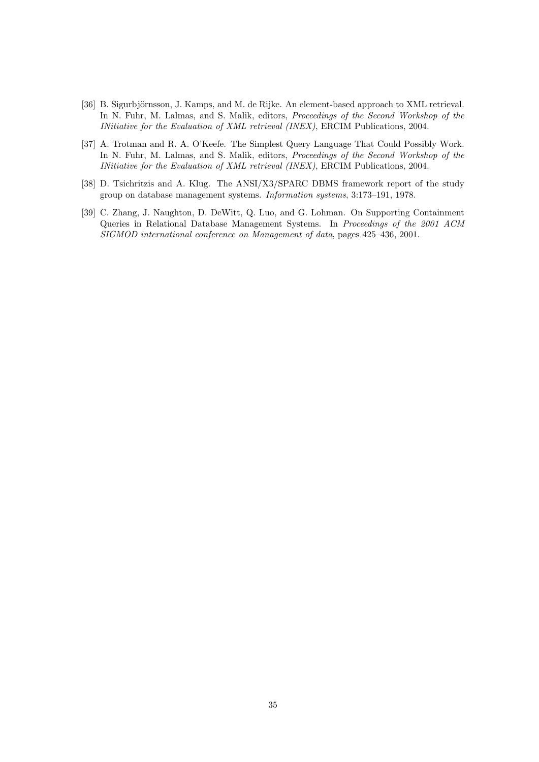- [36] B. Sigurbjörnsson, J. Kamps, and M. de Rijke. An element-based approach to XML retrieval. In N. Fuhr, M. Lalmas, and S. Malik, editors, *Proceedings of the Second Workshop of the* INitiative for the Evaluation of XML retrieval (INEX), ERCIM Publications, 2004.
- [37] A. Trotman and R. A. O'Keefe. The Simplest Query Language That Could Possibly Work. In N. Fuhr, M. Lalmas, and S. Malik, editors, Proceedings of the Second Workshop of the INitiative for the Evaluation of XML retrieval (INEX), ERCIM Publications, 2004.
- [38] D. Tsichritzis and A. Klug. The ANSI/X3/SPARC DBMS framework report of the study group on database management systems. Information systems, 3:173–191, 1978.
- [39] C. Zhang, J. Naughton, D. DeWitt, Q. Luo, and G. Lohman. On Supporting Containment Queries in Relational Database Management Systems. In Proceedings of the 2001 ACM SIGMOD international conference on Management of data, pages 425–436, 2001.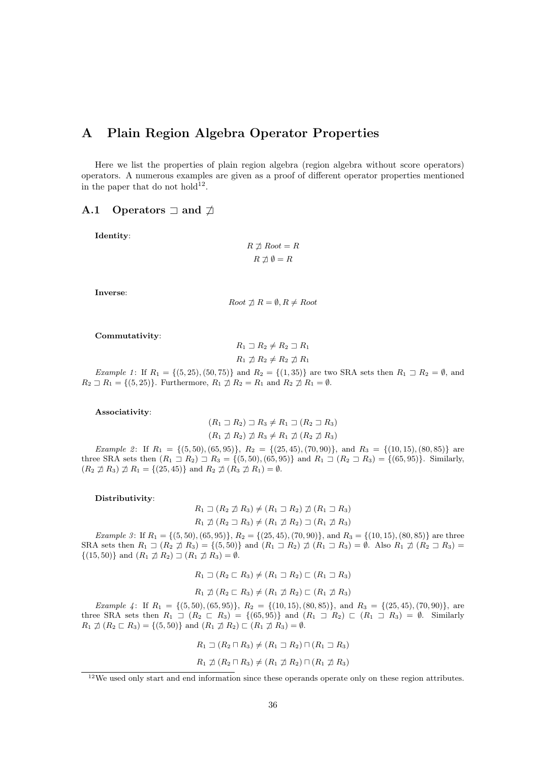# A Plain Region Algebra Operator Properties

Here we list the properties of plain region algebra (region algebra without score operators) operators. A numerous examples are given as a proof of different operator properties mentioned in the paper that do not hold<sup>12</sup>.

#### A.1 Operators  $\Box$  and  $\Box$

Identity:

$$
R \not\sqsupseteq Root = R
$$

$$
R \not\sqsupseteq \emptyset = R
$$

Inverse:

$$
Root \not\sqsupset R = \emptyset, R \neq Root
$$

Commutativity:

$$
R_1 \sqsupset R_2 \neq R_2 \sqsupset R_1
$$
  

$$
R_1 \not\sqsupset R_2 \neq R_2 \not\sqsupset R_1
$$

Example 1: If  $R_1 = \{(5, 25), (50, 75)\}\$  and  $R_2 = \{(1, 35)\}\$  are two SRA sets then  $R_1 \supseteq R_2 = \emptyset$ , and  $R_2 \supseteq R_1 = \{(5, 25)\}.$  Furthermore,  $R_1 \not\supseteq R_2 = R_1$  and  $R_2 \not\supseteq R_1 = \emptyset.$ 

Associativity:

 $(R_1 \sqsupset R_2) \sqsupset R_3 \neq R_1 \sqsupset (R_2 \sqsupset R_3)$  $(R_1 \not\sqsupset R_2) \not\sqsupset R_3 \neq R_1 \not\sqsupset (R_2 \not\sqsupset R_3)$ 

Example 2: If  $R_1 = \{(5, 50), (65, 95)\}\$ ,  $R_2 = \{(25, 45), (70, 90)\}\$ , and  $R_3 = \{(10, 15), (80, 85)\}\$  are three SRA sets then  $(R_1 \square R_2) \square R_3 = \{(5, 50), (65, 95)\}\$  and  $R_1 \square (R_2 \square R_3) = \{(65, 95)\}\$ . Similarly,  $(R_2 \not\sqsupseteq R_3) \not\sqsupseteq R_1 = \{(25, 45)\}\$ and  $R_2 \not\sqsupseteq (R_3 \not\sqsupseteq R_1) = \emptyset$ .

#### Distributivity:

 $R_1 \sqsupset (R_2 \not\sqsupset R_3) \neq (R_1 \sqsupset R_2) \not\sqsupset (R_1 \sqsupset R_3)$  $R_1 \not\sqsupset (R_2 \sqsupset R_3) \neq (R_1 \not\sqsupset R_2) \sqsupset (R_1 \not\sqsupset R_3)$ 

Example 3: If  $R_1 = \{(5, 50), (65, 95)\}, R_2 = \{(25, 45), (70, 90)\}, \text{ and } R_3 = \{(10, 15), (80, 85)\}\$ are three SRA sets then  $R_1 \rightrightarrows (R_2 \not\sqsupseteq R_3) = \{(5, 50)\}\$ and  $(R_1 \rightrightarrows R_2) \not\sqsupseteq (R_1 \rightrightarrows R_3) = \emptyset$ . Also  $R_1 \rightrightarrows (R_2 \rightrightarrows R_3) =$  $\{(15, 50)\}\$ and  $(R_1 \not\sqsupseteq R_2) \sqsupseteq (R_1 \not\sqsupseteq R_3) = \emptyset$ .

$$
R_1 \sqsupset (R_2 \sqsubset R_3) \neq (R_1 \sqsupset R_2) \sqsubset (R_1 \sqsupset R_3)
$$
  

$$
R_1 \npreceq (R_2 \sqsubset R_3) \neq (R_1 \npreceq R_2) \sqsubset (R_1 \npreceq R_3)
$$

Example 4: If  $R_1 = \{(5, 50), (65, 95)\}, R_2 = \{(10, 15), (80, 85)\}, \text{ and } R_3 = \{(25, 45), (70, 90)\}, \text{ are } R_3 = \{(10, 15), (10, 15)\}$ three SRA sets then  $R_1 \rightrightarrows (R_2 \rightrightarrows R_3) = \{(65, 95)\}\$  and  $(R_1 \rightrightarrows R_2) \rightrightarrows (R_1 \rightrightarrows R_3) = \emptyset$ . Similarly  $R_1 \not\supset (R_2 \sqsubset R_3) = \{(5, 50)\}\$ and  $(R_1 \not\supset R_2) \sqsubset (R_1 \not\supset R_3) = \emptyset$ .

 $R_1 \sqsupset (R_2 \sqcap R_3) \neq (R_1 \sqsupset R_2) \sqcap (R_1 \sqsupset R_3)$ 

$$
R_1 \not\sqsupset (R_2 \sqcap R_3) \neq (R_1 \not\sqsupset R_2) \sqcap (R_1 \not\sqsupset R_3)
$$

<sup>12</sup>We used only start and end information since these operands operate only on these region attributes.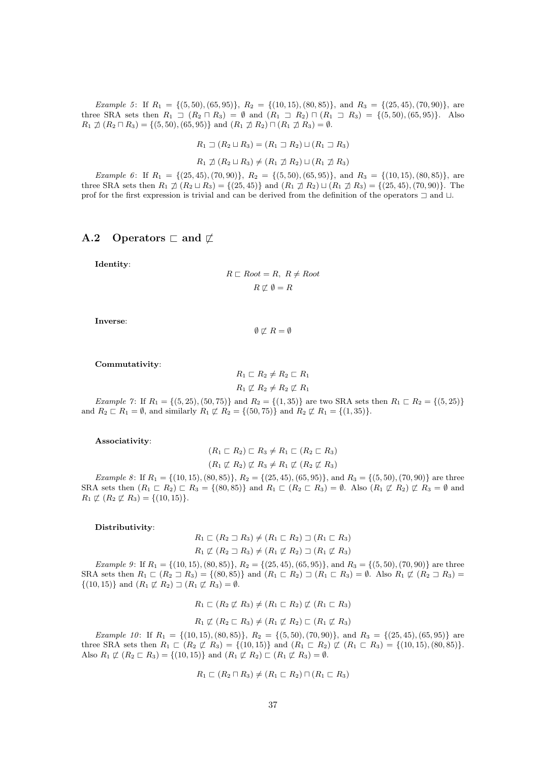Example 5: If  $R_1 = \{(5, 50), (65, 95)\}, R_2 = \{(10, 15), (80, 85)\}, \text{ and } R_3 = \{(25, 45), (70, 90)\}, \text{ are } R_3 = \{(10, 15), (10, 15), (10, 15)\}$ three SRA sets then  $R_1 \square (R_2 \square R_3) = \emptyset$  and  $(R_1 \square R_2) \square (R_1 \square R_3) = \{(5, 50), (65, 95)\}.$  Also  $R_1 \not\supset (R_2 \sqcap R_3) = \{(5, 50), (65, 95)\}\$ and  $(R_1 \not\supseteq R_2) \sqcap (R_1 \not\supseteq R_3) = \emptyset$ .

 $R_1 \sqsupset (R_2 \sqcup R_3) = (R_1 \sqsupset R_2) \sqcup (R_1 \sqsupset R_3)$ 

 $R_1 \not\supset (R_2 \sqcup R_3) \neq (R_1 \not\supset R_2) \sqcup (R_1 \not\supset R_3)$ 

Example 6: If  $R_1 = \{(25, 45), (70, 90)\}, R_2 = \{(5, 50), (65, 95)\}, \text{ and } R_3 = \{(10, 15), (80, 85)\}, \text{ are }$ three SRA sets then  $R_1 \not\supseteq (R_2 \sqcup R_3) = \{(25, 45)\}\$ and  $(R_1 \not\supseteq R_2) \sqcup (R_1 \not\supseteq R_3) = \{(25, 45), (70, 90)\}\$ . The prof for the first expression is trivial and can be derived from the definition of the operators  $\Box$  and  $\Box$ .

## A.2 Operators  $\Box$  and  $\not\Box$

Identity:

$$
R \sqsubset Root = R, \ R \neq Root
$$

$$
R \not\sqsubset \emptyset = R
$$

Inverse:

 $\emptyset \not\sqsubset R = \emptyset$ 

Commutativity:

$$
R_1 \sqsubset R_2 \neq R_2 \sqsubset R_1
$$
  

$$
R_1 \not\sqsubset R_2 \neq R_2 \not\sqsubset R_1
$$

Example 7: If  $R_1 = \{(5, 25), (50, 75)\}$  and  $R_2 = \{(1, 35)\}$  are two SRA sets then  $R_1 \sqsubset R_2 = \{(5, 25)\}$ and  $R_2 \rvert R_1 = \emptyset$ , and similarly  $R_1 \not\subset R_2 = \{(50, 75)\}\$  and  $R_2 \not\subset R_1 = \{(1, 35)\}\$ .

#### Associativity:

$$
(R_1 \sqsubset R_2) \sqsubset R_3 \neq R_1 \sqsubset (R_2 \sqsubset R_3)
$$
  

$$
(R_1 \not\sqsubset R_2) \not\sqsubset R_3 \neq R_1 \not\sqsubset (R_2 \not\sqsubset R_3)
$$

Example 8: If  $R_1 = \{(10, 15), (80, 85)\}, R_2 = \{(25, 45), (65, 95)\}, \text{ and } R_3 = \{(5, 50), (70, 90)\}$  are three SRA sets then  $(R_1 \nsubseteq R_2) \nsubseteq R_3 = \{(80, 85)\}\$ and  $R_1 \nsubseteq (R_2 \nsubseteq R_3) = \emptyset$ . Also  $(R_1 \nsubseteq R_2) \nsubseteq R_3 = \emptyset$  and  $R_1 \not\sqsubset (R_2 \not\sqsubset R_3) = \{(10, 15)\}.$ 

#### Distributivity:

 $R_1 \sqsubset (R_2 \sqsupset R_3) \neq (R_1 \sqsubset R_2) \sqsupset (R_1 \sqsubset R_3)$  $R_1 \not\sqsubset (R_2 \sqsupset R_3) \neq (R_1 \not\sqsubset R_2) \sqsupset (R_1 \not\sqsubset R_3)$ 

Example 9: If  $R_1 = \{(10, 15), (80, 85)\}\$ ,  $R_2 = \{(25, 45), (65, 95)\}\$ , and  $R_3 = \{(5, 50), (70, 90)\}\$  are three SRA sets then  $R_1 \rvert R_2 \rvert R_3$  = {(80, 85)} and  $(R_1 \rvert R_2) \rvert R_1 \rvert R_3$  = Ø. Also  $R_1 \not\subset (R_2 \rvert R_3)$  =  $\{(10, 15)\}\$  and  $(R_1 \not\sqsubset R_2) \sqsupset (R_1 \not\sqsubset R_3) = \emptyset$ .

$$
R_1 \sqsubset (R_2 \not\sqsubset R_3) \neq (R_1 \sqsubset R_2) \not\sqsubset (R_1 \sqsubset R_3)
$$

$$
R_1 \not\sqsubset (R_2 \sqsubset R_3) \neq (R_1 \not\sqsubset R_2) \sqsubset (R_1 \not\sqsubset R_3)
$$

Example 10: If  $R_1 = \{(10, 15), (80, 85)\}, R_2 = \{(5, 50), (70, 90)\}, \text{ and } R_3 = \{(25, 45), (65, 95)\}$  are three SRA sets then  $R_1 \n\sqsubset (R_2 \not\sqsubset R_3) = \{(10, 15)\}\$ and  $(R_1 \sqsubset R_2) \not\sqsubset (R_1 \sqsubset R_3) = \{(10, 15), (80, 85)\}\$ . Also  $R_1 \not\sqsubset (R_2 \sqsubset R_3) = \{(10, 15)\}\$ and  $(R_1 \not\sqsubset R_2) \sqsubset (R_1 \not\sqsubset R_3) = \emptyset$ .

$$
R_1 \sqsubset (R_2 \sqcap R_3) \neq (R_1 \sqsubset R_2) \sqcap (R_1 \sqsubset R_3)
$$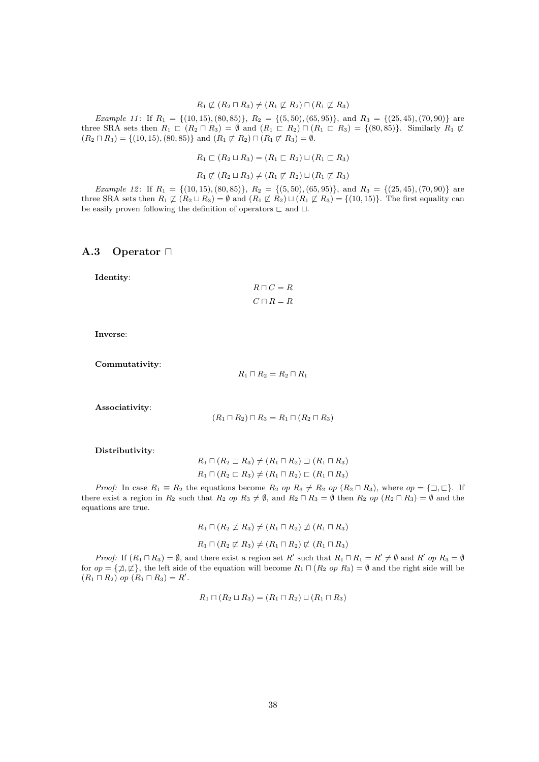#### $R_1 \not\sqsubset (R_2 \sqcap R_3) \neq (R_1 \not\sqsubset R_2) \sqcap (R_1 \not\sqsubset R_3)$

Example 11: If  $R_1 = \{(10, 15), (80, 85)\}, R_2 = \{(5, 50), (65, 95)\}, \text{ and } R_3 = \{(25, 45), (70, 90)\}$  are three SRA sets then  $R_1 \rvert R_2 \rvert R_3$  =  $\emptyset$  and  $(R_1 \rvert R_2) \rvert R_1 \rvert R_3$  = {(80, 85)}. Similarly  $R_1 \rvert R_2$  $(R_2 \sqcap R_3) = \{(10, 15), (80, 85)\}\$ and  $(R_1 \not\sqsubset R_2) \sqcap (R_1 \not\sqsubset R_3) = \emptyset.$ 

 $R_1 \sqsubset (R_2 \sqcup R_3) = (R_1 \sqsubset R_2) \sqcup (R_1 \sqsubset R_3)$ 

 $R_1 \not\sqsubset (R_2 \sqcup R_3) \neq (R_1 \not\sqsubset R_2) \sqcup (R_1 \not\sqsubset R_3)$ 

Example 12: If  $R_1 = \{(10, 15), (80, 85)\}, R_2 = \{(5, 50), (65, 95)\}, \text{ and } R_3 = \{(25, 45), (70, 90)\}$  are three SRA sets then  $R_1 \not\sqsubset (R_2 \sqcup R_3) = \emptyset$  and  $(R_1 \not\sqsubset R_2) \sqcup (R_1 \not\sqsubset R_3) = \{(10, 15)\}\.$  The first equality can be easily proven following the definition of operators  $\sqsubset$  and  $\sqcup.$ 

## A.3 Operator  $\Box$

Identity:

 $R \sqcap C = R$  $C\sqcap R = R$ 

Inverse:

Commutativity:

 $R_1 \sqcap R_2 = R_2 \sqcap R_1$ 

Associativity:

$$
(R_1 \sqcap R_2) \sqcap R_3 = R_1 \sqcap (R_2 \sqcap R_3)
$$

Distributivity:

$$
R_1 \sqcap (R_2 \sqsupset R_3) \neq (R_1 \sqcap R_2) \sqsupset (R_1 \sqcap R_3)
$$
  

$$
R_1 \sqcap (R_2 \sqsubset R_3) \neq (R_1 \sqcap R_2) \sqsubset (R_1 \sqcap R_3)
$$

*Proof:* In case  $R_1 \equiv R_2$  the equations become  $R_2$  op  $R_3 \neq R_2$  op  $(R_2 \sqcap R_3)$ , where  $op = {\sqsupset}$ , If there exist a region in  $R_2$  such that  $R_2$  op  $R_3 \neq \emptyset$ , and  $R_2 \cap R_3 = \emptyset$  then  $R_2$  op  $(R_2 \cap R_3) = \emptyset$  and the equations are true.

$$
R_1 \sqcap (R_2 \not\sqsupseteq R_3) \neq (R_1 \sqcap R_2) \not\sqsupseteq (R_1 \sqcap R_3)
$$
  

$$
R_1 \sqcap (R_2 \not\sqsubset R_3) \neq (R_1 \sqcap R_2) \not\sqsubset (R_1 \sqcap R_3)
$$

*Proof:* If  $(R_1 \sqcap R_3) = \emptyset$ , and there exist a region set R' such that  $R_1 \sqcap R_1 = R' \neq \emptyset$  and R' op  $R_3 = \emptyset$ for  $op = {\{\,\neq\,}\, \varphi\}$ , the left side of the equation will become  $R_1 \sqcap (R_2 \ op R_3) = \emptyset$  and the right side will be  $(R_1 \sqcap R_2)$  op  $(R_1 \sqcap R_3) = R'$ .

$$
R_1 \sqcap (R_2 \sqcup R_3) = (R_1 \sqcap R_2) \sqcup (R_1 \sqcap R_3)
$$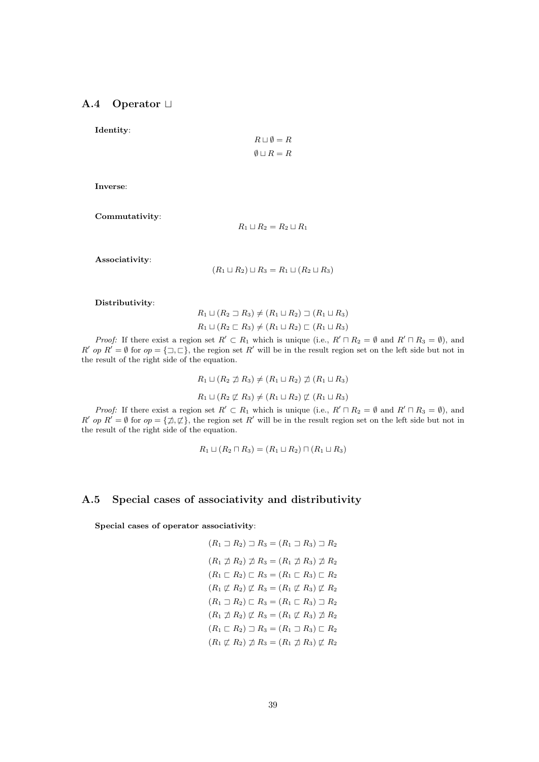# A.4 Operator  $\Box$

Identity:

$$
R \sqcup \emptyset = R
$$

$$
\emptyset \sqcup R = R
$$

Inverse:

Commutativity:

 $R_1 \sqcup R_2 = R_2 \sqcup R_1$ 

Associativity:

 $(R_1 \sqcup R_2) \sqcup R_3 = R_1 \sqcup (R_2 \sqcup R_3)$ 

Distributivity:

 $R_1 \sqcup (R_2 \sqsupset R_3) \neq (R_1 \sqcup R_2) \sqsupset (R_1 \sqcup R_3)$  $R_1 \sqcup (R_2 \sqsubset R_3) \neq (R_1 \sqcup R_2) \sqsubset (R_1 \sqcup R_3)$ 

*Proof:* If there exist a region set  $R' \subset R_1$  which is unique (i.e.,  $R' \cap R_2 = \emptyset$  and  $R' \cap R_3 = \emptyset$ ), and R' op R' = Ø for op = { $\exists, \sqsubset$ }, the region set R' will be in the result region set on the left side but not in the result of the right side of the equation.

> $R_1 \sqcup (R_2 \not\sqsupseteq R_3) \neq (R_1 \sqcup R_2) \not\sqsupseteq (R_1 \sqcup R_3)$  $R_1 \sqcup (R_2 \not\sqsubset R_3) \neq (R_1 \sqcup R_2) \not\sqsubset (R_1 \sqcup R_3)$

*Proof:* If there exist a region set  $R' \subset R_1$  which is unique (i.e.,  $R' \cap R_2 = \emptyset$  and  $R' \cap R_3 = \emptyset$ ), and R' op R' = Ø for op = { $\not\exists$ ,  $\not\sqsubset$ }, the region set R' will be in the result region set on the left side but not in the result of the right side of the equation.

$$
R_1 \sqcup (R_2 \sqcap R_3) = (R_1 \sqcup R_2) \sqcap (R_1 \sqcup R_3)
$$

### A.5 Special cases of associativity and distributivity

Special cases of operator associativity:

$$
(R_1 \supseteq R_2) \supseteq R_3 = (R_1 \supseteq R_3) \supseteq R_2
$$
  
\n
$$
(R_1 \npreceq R_2) \npreceq R_3 = (R_1 \npreceq R_3) \npreceq R_2
$$
  
\n
$$
(R_1 \sqsubset R_2) \sqsubset R_3 = (R_1 \sqsubset R_3) \sqsubset R_2
$$
  
\n
$$
(R_1 \not\sqsubset R_2) \not\sqsubset R_3 = (R_1 \not\sqsubset R_3) \not\sqsubset R_2
$$
  
\n
$$
(R_1 \sqsubset R_2) \sqsubset R_3 = (R_1 \sqsubset R_3) \sqsupseteq R_2
$$
  
\n
$$
(R_1 \sqsubset R_2) \sqsubset R_3 = (R_1 \sqsubset R_3) \not\sqsupseteq R_2
$$
  
\n
$$
(R_1 \sqsubset R_2) \sqsupseteq R_3 = (R_1 \sqcup R_3) \sqsubset R_2
$$
  
\n
$$
(R_1 \not\sqsubset R_2) \sqsupseteq R_3 = (R_1 \sqcup R_3) \not\sqsubset R_2
$$
  
\n
$$
(R_1 \not\sqsubset R_2) \not\sqsupseteq R_3 = (R_1 \sqcup R_3) \not\sqsubset R_2
$$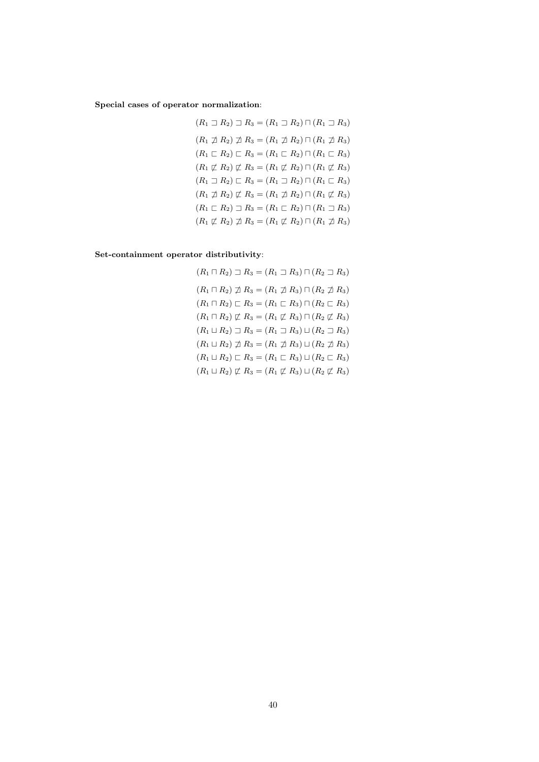Special cases of operator normalization:

$$
(R_1 \supset R_2) \supset R_3 = (R_1 \supset R_2) \cap (R_1 \supset R_3)
$$
  
\n
$$
(R_1 \npreceq R_2) \npreceq R_3 = (R_1 \npreceq R_2) \cap (R_1 \npreceq R_3)
$$
  
\n
$$
(R_1 \nsubseteq R_2) \nsubseteq R_3 = (R_1 \nsubseteq R_2) \cap (R_1 \nsubseteq R_3)
$$
  
\n
$$
(R_1 \nsubseteq R_2) \nsubseteq R_3 = (R_1 \nsubseteq R_2) \cap (R_1 \nsubseteq R_3)
$$
  
\n
$$
(R_1 \nsubseteq R_2) \nsubseteq R_3 = (R_1 \nsubseteq R_2) \cap (R_1 \nsubseteq R_3)
$$
  
\n
$$
(R_1 \nsubseteq R_2) \nsubseteq R_3 = (R_1 \nsubseteq R_2) \cap (R_1 \nsubseteq R_3)
$$
  
\n
$$
(R_1 \nsubseteq R_2) \nsubseteq R_3 = (R_1 \nsubseteq R_2) \cap (R_1 \nsubseteq R_3)
$$
  
\n
$$
(R_1 \nsubseteq R_2) \npreceq R_3 = (R_1 \nsubseteq R_2) \cap (R_1 \nsubseteq R_3)
$$

Set-containment operator distributivity:

$$
(R_1 \sqcap R_2) \sqsupset R_3 = (R_1 \sqsupset R_3) \sqcap (R_2 \sqsupset R_3)
$$
  
\n
$$
(R_1 \sqcap R_2) \not\supset R_3 = (R_1 \not\supset R_3) \sqcap (R_2 \not\supset R_3)
$$
  
\n
$$
(R_1 \sqcap R_2) \sqsubset R_3 = (R_1 \sqsubset R_3) \sqcap (R_2 \sqsubset R_3)
$$
  
\n
$$
(R_1 \sqcap R_2) \not\sqsubset R_3 = (R_1 \not\sqsubset R_3) \sqcap (R_2 \not\sqsubset R_3)
$$
  
\n
$$
(R_1 \sqcup R_2) \sqsupset R_3 = (R_1 \sqsupset R_3) \sqcup (R_2 \sqsupset R_3)
$$
  
\n
$$
(R_1 \sqcup R_2) \not\sqsupset R_3 = (R_1 \not\sqsupset R_3) \sqcup (R_2 \not\sqsupset R_3)
$$
  
\n
$$
(R_1 \sqcup R_2) \sqsubset R_3 = (R_1 \sqsubset R_3) \sqcup (R_2 \sqsubset R_3)
$$
  
\n
$$
(R_1 \sqcup R_2) \not\sqsubset R_3 = (R_1 \sqsubset R_3) \sqcup (R_2 \sqsubset R_3)
$$
  
\n
$$
(R_1 \sqcup R_2) \not\sqsubset R_3 = (R_1 \sqsubset R_3) \sqcup (R_2 \sqsubset R_3)
$$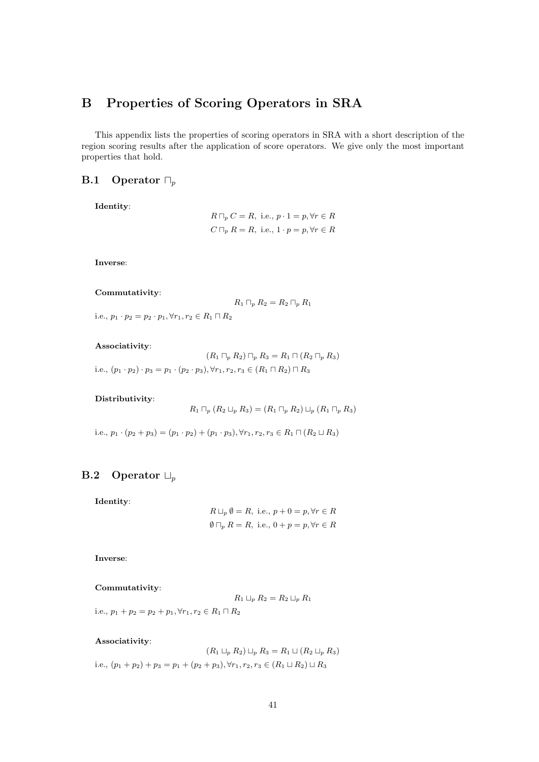# B Properties of Scoring Operators in SRA

This appendix lists the properties of scoring operators in SRA with a short description of the region scoring results after the application of score operators. We give only the most important properties that hold.

## **B.1** Operator  $\Box_p$

Identity:

$$
R \sqcap_p C = R, \text{ i.e., } p \cdot 1 = p, \forall r \in R
$$
  

$$
C \sqcap_p R = R, \text{ i.e., } 1 \cdot p = p, \forall r \in R
$$

Inverse:

#### Commutativity:

$$
R_1 \sqcap_p R_2 = R_2 \sqcap_p R_1
$$

i.e.,  $p_1 \cdot p_2 = p_2 \cdot p_1, \forall r_1, r_2 \in R_1 \sqcap R_2$ 

#### Associativity:

 $(R_1 \sqcap_p R_2) \sqcap_p R_3 = R_1 \sqcap (R_2 \sqcap_p R_3)$ i.e.,  $(p_1 \cdot p_2) \cdot p_3 = p_1 \cdot (p_2 \cdot p_3), \forall r_1, r_2, r_3 \in (R_1 \sqcap R_2) \sqcap R_3$ 

#### Distributivity:

 $R_1 \sqcap_p (R_2 \sqcup_p R_3) = (R_1 \sqcap_p R_2) \sqcup_p (R_1 \sqcap_p R_3)$ 

i.e.,  $p_1 \cdot (p_2 + p_3) = (p_1 \cdot p_2) + (p_1 \cdot p_3), \forall r_1, r_2, r_3 \in R_1 \cap (R_2 \sqcup R_3)$ 

# **B.2** Operator  $\Box_p$

Identity:

$$
R \sqcup_p \emptyset = R, \text{ i.e., } p + 0 = p, \forall r \in R
$$
  

$$
\emptyset \sqcap_p R = R, \text{ i.e., } 0 + p = p, \forall r \in R
$$

Inverse:

#### Commutativity:

$$
R_1 \sqcup_p R_2 = R_2 \sqcup_p R_1
$$

i.e.,  $p_1 + p_2 = p_2 + p_1, \forall r_1, r_2 \in R_1 \sqcap R_2$ 

#### Associativity:

 $(R_1 \sqcup_p R_2) \sqcup_p R_3 = R_1 \sqcup (R_2 \sqcup_p R_3)$ i.e.,  $(p_1 + p_2) + p_3 = p_1 + (p_2 + p_3), \forall r_1, r_2, r_3 \in (R_1 \sqcup R_2) \sqcup R_3$